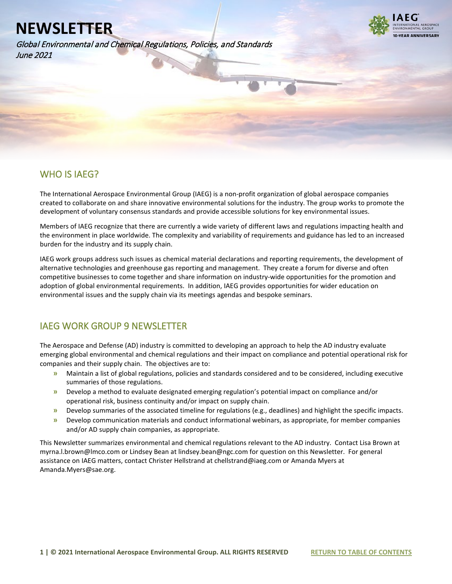Global Environmental and Chemical Regulations, Policies, and Standards June 2021



## WHO IS IAEG?

l

The International Aerospace Environmental Group (IAEG) is a non-profit organization of global aerospace companies created to collaborate on and share innovative environmental solutions for the industry. The group works to promote the development of voluntary consensus standards and provide accessible solutions for key environmental issues.

Members of IAEG recognize that there are currently a wide variety of different laws and regulations impacting health and the environment in place worldwide. The complexity and variability of requirements and guidance has led to an increased burden for the industry and its supply chain.

IAEG work groups address such issues as chemical material declarations and reporting requirements, the development of alternative technologies and greenhouse gas reporting and management. They create a forum for diverse and often competitive businesses to come together and share information on industry-wide opportunities for the promotion and adoption of global environmental requirements. In addition, IAEG provides opportunities for wider education on environmental issues and the supply chain via its meetings agendas and bespoke seminars.

## IAEG WORK GROUP 9 NEWSLETTER

The Aerospace and Defense (AD) industry is committed to developing an approach to help the AD industry evaluate emerging global environmental and chemical regulations and their impact on compliance and potential operational risk for companies and their supply chain. The objectives are to:

- **»** Maintain a list of global regulations, policies and standards considered and to be considered, including executive summaries of those regulations.
- **»** Develop a method to evaluate designated emerging regulation's potential impact on compliance and/or operational risk, business continuity and/or impact on supply chain.
- **»** Develop summaries of the associated timeline for regulations (e.g., deadlines) and highlight the specific impacts.
- **»** Develop communication materials and conduct informational webinars, as appropriate, for member companies and/or AD supply chain companies, as appropriate.

This Newsletter summarizes environmental and chemical regulations relevant to the AD industry. Contact Lisa Brown at myrna.l.brown@lmco.com or Lindsey Bean at lindsey.bean@ngc.com for question on this Newsletter. For general assistance on IAEG matters, contact Christer Hellstrand at chellstrand@iaeg.com or Amanda Myers at Amanda.Myers@sae.org.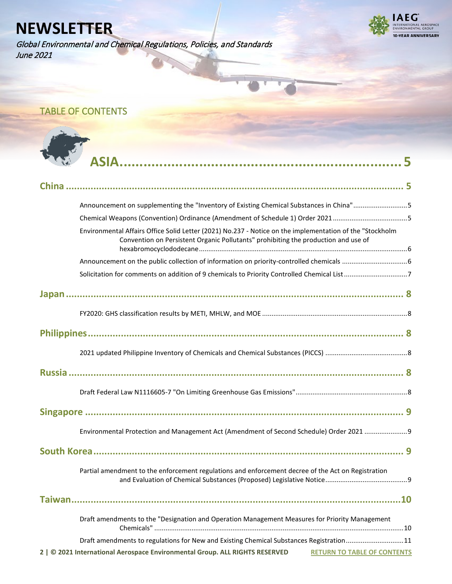Global Environmental and Chemical Regulations, Policies, and Standards June 2021



## <span id="page-1-0"></span>TABLE OF CONTENTS



| Announcement on supplementing the "Inventory of Existing Chemical Substances in China"5                                                                                                        |
|------------------------------------------------------------------------------------------------------------------------------------------------------------------------------------------------|
|                                                                                                                                                                                                |
| Environmental Affairs Office Solid Letter (2021) No.237 - Notice on the implementation of the "Stockholm<br>Convention on Persistent Organic Pollutants" prohibiting the production and use of |
|                                                                                                                                                                                                |
|                                                                                                                                                                                                |
|                                                                                                                                                                                                |
|                                                                                                                                                                                                |
|                                                                                                                                                                                                |
|                                                                                                                                                                                                |
|                                                                                                                                                                                                |
|                                                                                                                                                                                                |
|                                                                                                                                                                                                |
| Environmental Protection and Management Act (Amendment of Second Schedule) Order 2021                                                                                                          |
|                                                                                                                                                                                                |
| Partial amendment to the enforcement regulations and enforcement decree of the Act on Registration                                                                                             |
|                                                                                                                                                                                                |
| Draft amendments to the "Designation and Operation Management Measures for Priority Management                                                                                                 |
| Draft amendments to regulations for New and Existing Chemical Substances Registration11                                                                                                        |
| 2   © 2021 International Aerospace Environmental Group. ALL RIGHTS RESERVED<br><b>RETURN TO TABLE OF CONTENTS</b>                                                                              |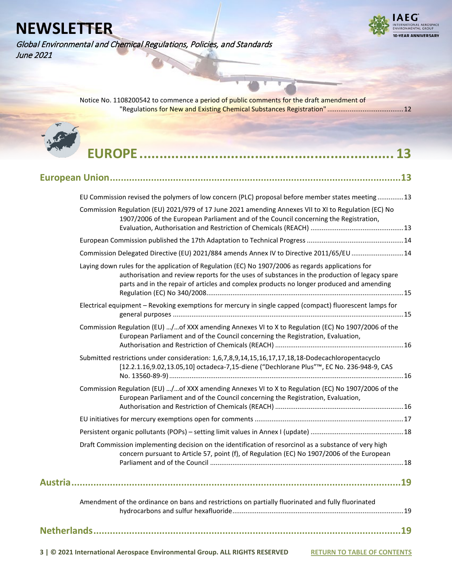Global Environmental and Chemical Regulations, Policies, and Standards June 2021



[Notice No. 1108200542 to commence a period of public comments for the draft amendment of](#page-11-0)  ["Regulations for New and Existing Chemical Substances Registration"](#page-11-0) .........................................12

| EU Commission revised the polymers of low concern (PLC) proposal before member states meeting13                                                                                                                                                                                                |  |
|------------------------------------------------------------------------------------------------------------------------------------------------------------------------------------------------------------------------------------------------------------------------------------------------|--|
| Commission Regulation (EU) 2021/979 of 17 June 2021 amending Annexes VII to XI to Regulation (EC) No<br>1907/2006 of the European Parliament and of the Council concerning the Registration,                                                                                                   |  |
|                                                                                                                                                                                                                                                                                                |  |
| Commission Delegated Directive (EU) 2021/884 amends Annex IV to Directive 2011/65/EU 14                                                                                                                                                                                                        |  |
| Laying down rules for the application of Regulation (EC) No 1907/2006 as regards applications for<br>authorisation and review reports for the uses of substances in the production of legacy spare<br>parts and in the repair of articles and complex products no longer produced and amending |  |
| Electrical equipment - Revoking exemptions for mercury in single capped (compact) fluorescent lamps for                                                                                                                                                                                        |  |
| Commission Regulation (EU) /of XXX amending Annexes VI to X to Regulation (EC) No 1907/2006 of the<br>European Parliament and of the Council concerning the Registration, Evaluation,                                                                                                          |  |
| Submitted restrictions under consideration: 1,6,7,8,9,14,15,16,17,17,18,18-Dodecachloropentacyclo<br>[12.2.1.16,9.02,13.05,10] octadeca-7,15-diene ("Dechlorane Plus"™, EC No. 236-948-9, CAS                                                                                                  |  |
| Commission Regulation (EU) /of XXX amending Annexes VI to X to Regulation (EC) No 1907/2006 of the<br>European Parliament and of the Council concerning the Registration, Evaluation,                                                                                                          |  |
|                                                                                                                                                                                                                                                                                                |  |
|                                                                                                                                                                                                                                                                                                |  |
| Draft Commission implementing decision on the identification of resorcinol as a substance of very high<br>concern pursuant to Article 57, point (f), of Regulation (EC) No 1907/2006 of the European                                                                                           |  |
|                                                                                                                                                                                                                                                                                                |  |
| Amendment of the ordinance on bans and restrictions on partially fluorinated and fully fluorinated                                                                                                                                                                                             |  |
| 19                                                                                                                                                                                                                                                                                             |  |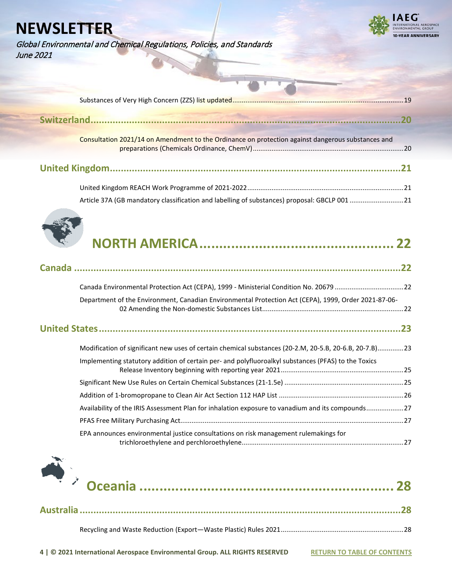Global Environmental and Chemical Regulations, Policies, and Standards June 2021



| Consultation 2021/14 on Amendment to the Ordinance on protection against dangerous substances and |  |
|---------------------------------------------------------------------------------------------------|--|
|                                                                                                   |  |
|                                                                                                   |  |





|--|--|--|--|--|

| Canada Environmental Protection Act (CEPA), 1999 - Ministerial Condition No. 20679 22                  |  |
|--------------------------------------------------------------------------------------------------------|--|
| Department of the Environment, Canadian Environmental Protection Act (CEPA), 1999, Order 2021-87-06-   |  |
|                                                                                                        |  |
| Modification of significant new uses of certain chemical substances (20-2.M, 20-5.B, 20-6.B, 20-7.B)23 |  |
| Implementing statutory addition of certain per- and polyfluoroalkyl substances (PFAS) to the Toxics    |  |
|                                                                                                        |  |
|                                                                                                        |  |
| Availability of the IRIS Assessment Plan for inhalation exposure to vanadium and its compounds27       |  |
|                                                                                                        |  |
| EPA announces environmental justice consultations on risk management rulemakings for                   |  |

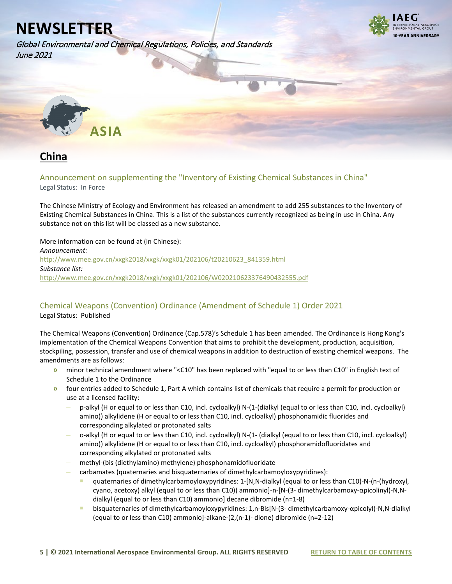Global Environmental and Chemical Regulations, Policies, and Standards June 2021



<span id="page-4-0"></span>

# <span id="page-4-1"></span>**China**

<span id="page-4-2"></span>Announcement on supplementing the "Inventory of Existing Chemical Substances in China"

Legal Status: In Force

The Chinese Ministry of Ecology and Environment has released an amendment to add 255 substances to the Inventory of Existing Chemical Substances in China. This is a list of the substances currently recognized as being in use in China. Any substance not on this list will be classed as a new substance.

More information can be found at (in Chinese): *Announcement:* [http://www.mee.gov.cn/xxgk2018/xxgk/xxgk01/202106/t20210623\\_841359.html](http://www.mee.gov.cn/xxgk2018/xxgk/xxgk01/202106/t20210623_841359.html) *Substance list:*  <http://www.mee.gov.cn/xxgk2018/xxgk/xxgk01/202106/W020210623376490432555.pdf>

### <span id="page-4-3"></span>Chemical Weapons (Convention) Ordinance (Amendment of Schedule 1) Order 2021 Legal Status: Published

The Chemical Weapons (Convention) Ordinance (Cap.578)'s Schedule 1 has been amended. The Ordinance is Hong Kong's implementation of the Chemical Weapons Convention that aims to prohibit the development, production, acquisition, stockpiling, possession, transfer and use of chemical weapons in addition to destruction of existing chemical weapons. The amendments are as follows:

- **»** minor technical amendment where "<C10" has been replaced with "equal to or less than C10" in English text of Schedule 1 to the Ordinance
- **»** four entries added to Schedule 1, Part A which contains list of chemicals that require a permit for production or use at a licensed facility:
	- **–** p-alkyl (H or equal to or less than C10, incl. cycloalkyl) N-(1-(dialkyl (equal to or less than C10, incl. cycloalkyl) amino)) alkylidene (H or equal to or less than C10, incl. cycloalkyl) phosphonamidic fluorides and corresponding alkylated or protonated salts
	- **–** o-alkyl (H or equal to or less than C10, incl. cycloalkyl) N-(1- (dialkyl (equal to or less than C10, incl. cycloalkyl) amino)) alkylidene (H or equal to or less than C10, incl. cycloalkyl) phosphoramidofluoridates and corresponding alkylated or protonated salts
	- **–** methyl-(bis (diethylamino) methylene) phosphonamidofluoridate
	- **–** carbamates (quaternaries and bisquaternaries of dimethylcarbamoyloxypyridines):
		- quaternaries of dimethylcarbamoyloxypyridines: 1-[N,N-dialkyl (equal to or less than C10)-N-(n-(hydroxyl, cyano, acetoxy) alkyl (equal to or less than C10)) ammonio]-n-[N-(3- dimethylcarbamoxy-αpicolinyl)-N,Ndialkyl (equal to or less than C10) ammonio] decane dibromide (n=1-8)
		- bisquaternaries of dimethylcarbamoyloxypyridines: 1,n-Bis[N-(3- dimethylcarbamoxy-αpicolyl)-N,N-dialkyl (equal to or less than C10) ammonio]-alkane-(2,(n-1)- dione) dibromide (n=2-12)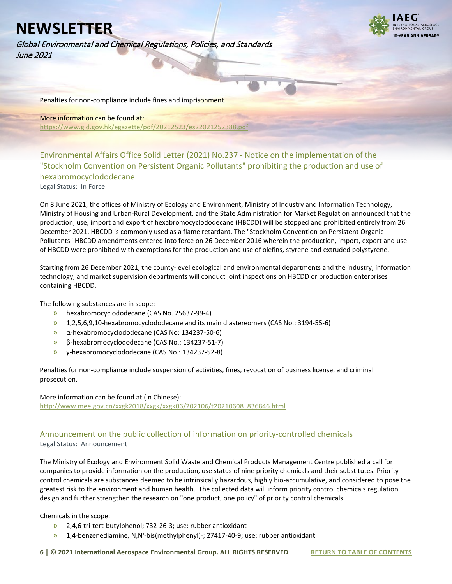**I-VEAR ANNIVERSARY** 

Global Environmental and Chemical Regulations, Policies, and Standards June 2021

Penalties for non-compliance include fines and imprisonment.

### More information can be found at:

<https://www.gld.gov.hk/egazette/pdf/20212523/es22021252388.pdf>

<span id="page-5-0"></span>Environmental Affairs Office Solid Letter (2021) No.237 - Notice on the implementation of the "Stockholm Convention on Persistent Organic Pollutants" prohibiting the production and use of hexabromocyclododecane

Legal Status: In Force

On 8 June 2021, the offices of Ministry of Ecology and Environment, Ministry of Industry and Information Technology, Ministry of Housing and Urban-Rural Development, and the State Administration for Market Regulation announced that the production, use, import and export of hexabromocyclododecane (HBCDD) will be stopped and prohibited entirely from 26 December 2021. HBCDD is commonly used as a flame retardant. The "Stockholm Convention on Persistent Organic Pollutants" HBCDD amendments entered into force on 26 December 2016 wherein the production, import, export and use of HBCDD were prohibited with exemptions for the production and use of olefins, styrene and extruded polystyrene.

Starting from 26 December 2021, the county-level ecological and environmental departments and the industry, information technology, and market supervision departments will conduct joint inspections on HBCDD or production enterprises containing HBCDD.

The following substances are in scope:

- **»** hexabromocyclododecane (CAS No. 25637-99-4)
- **»** 1,2,5,6,9,10-hexabromocyclododecane and its main diastereomers (CAS No.: 3194-55-6)
- **»** α-hexabromocyclododecane (CAS No: 134237-50-6)
- **»** β-hexabromocyclododecane (CAS No.: 134237-51-7)
- **»** γ-hexabromocyclododecane (CAS No.: 134237-52-8)

Penalties for non-compliance include suspension of activities, fines, revocation of business license, and criminal prosecution.

More information can be found at (in Chinese): [http://www.mee.gov.cn/xxgk2018/xxgk/xxgk06/202106/t20210608\\_836846.html](http://www.mee.gov.cn/xxgk2018/xxgk/xxgk06/202106/t20210608_836846.html)

### <span id="page-5-1"></span>Announcement on the public collection of information on priority-controlled chemicals Legal Status: Announcement

The Ministry of Ecology and Environment Solid Waste and Chemical Products Management Centre published a call for companies to provide information on the production, use status of nine priority chemicals and their substitutes. Priority control chemicals are substances deemed to be intrinsically hazardous, highly bio-accumulative, and considered to pose the greatest risk to the environment and human health. The collected data will inform priority control chemicals regulation design and further strengthen the research on "one product, one policy" of priority control chemicals.

Chemicals in the scope:

- **»** 2,4,6-tri-tert-butylphenol; 732-26-3; use: rubber antioxidant
- **»** 1,4-benzenediamine, N,N'-bis(methylphenyl)-; 27417-40-9; use: rubber antioxidant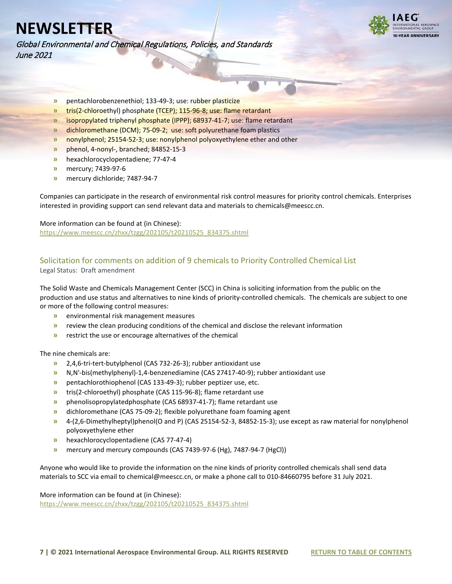Global Environmental and Chemical Regulations, Policies, and Standards June 2021



- **»** pentachlorobenzenethiol; 133-49-3; use: rubber plasticize
- **»** tris(2-chloroethyl) phosphate (TCEP); 115-96-8; use: flame retardant
- **»** isopropylated triphenyl phosphate (IPPP); 68937-41-7; use: flame retardant
- **»** dichloromethane (DCM); 75-09-2; use: soft polyurethane foam plastics
- **»** nonylphenol; 25154-52-3; use: nonylphenol polyoxyethylene ether and other
- **»** phenol, 4-nonyl-, branched; 84852-15-3
- **»** hexachlorocyclopentadiene; 77-47-4
- **»** mercury; 7439-97-6
- **»** mercury dichloride; 7487-94-7

Companies can participate in the research of environmental risk control measures for priority control chemicals. Enterprises interested in providing support can send relevant data and materials to chemicals@meescc.cn.

More information can be found at (in Chinese): [https://www.meescc.cn/zhxx/tzgg/202105/t20210525\\_834375.shtml](https://www.meescc.cn/zhxx/tzgg/202105/t20210525_834375.shtml)

## <span id="page-6-0"></span>Solicitation for comments on addition of 9 chemicals to Priority Controlled Chemical List

Legal Status: Draft amendment

The Solid Waste and Chemicals Management Center (SCC) in China is soliciting information from the public on the production and use status and alternatives to nine kinds of priority-controlled chemicals. The chemicals are subject to one or more of the following control measures:

- **»** environmental risk management measures
- **»** review the clean producing conditions of the chemical and disclose the relevant information
- **»** restrict the use or encourage alternatives of the chemical

#### The nine chemicals are:

- **»** 2,4,6-tri-tert-butylphenol (CAS 732-26-3); rubber antioxidant use
- **»** N,N'-bis(methylphenyl)-1,4-benzenediamine (CAS 27417-40-9); rubber antioxidant use
- **»** pentachlorothiophenol (CAS 133-49-3); rubber peptizer use, etc.
- **»** tris(2-chloroethyl) phosphate (CAS 115-96-8); flame retardant use
- **»** phenolisopropylatedphosphate (CAS 68937-41-7); flame retardant use
- **»** dichloromethane (CAS 75-09-2); flexible polyurethane foam foaming agent
- **»** 4-(2,6-Dimethylheptyl)phenol(O and P) (CAS 25154-52-3, 84852-15-3); use except as raw material for nonylphenol polyoxyethylene ether
- **»** hexachlorocyclopentadiene (CAS 77-47-4)
- **»** mercury and mercury compounds (CAS 7439-97-6 (Hg), 7487-94-7 (HgCl))

Anyone who would like to provide the information on the nine kinds of priority controlled chemicals shall send data materials to SCC via email to chemical@meescc.cn, or make a phone call to 010-84660795 before 31 July 2021.

More information can be found at (in Chinese):

[https://www.meescc.cn/zhxx/tzgg/202105/t20210525\\_834375.shtml](https://www.meescc.cn/zhxx/tzgg/202105/t20210525_834375.shtml)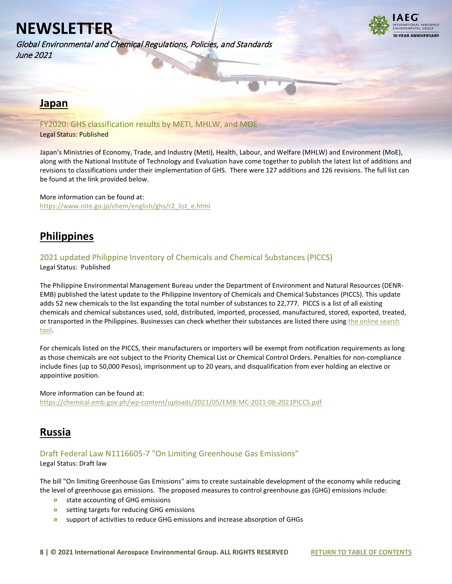Global Environmental and Chemical Regulations, Policies, and Standards June 2021



### <span id="page-7-0"></span>**Japan**

<span id="page-7-1"></span>FY2020: GHS classification results by METI, MHLW, and MOE Legal Status: Published

Japan's Ministries of Economy, Trade, and Industry (Meti), Health, Labour, and Welfare (MHLW) and Environment (MoE), along with the National Institute of Technology and Evaluation have come together to publish the latest list of additions and revisions to classifications under their implementation of GHS. There were 127 additions and 126 revisions. The full list can be found at the link provided below.

More information can be found at: [https://www.nite.go.jp/chem/english/ghs/r2\\_list\\_e.html](https://www.nite.go.jp/chem/english/ghs/r2_list_e.html)

## <span id="page-7-2"></span>**Philippines**

## <span id="page-7-3"></span>2021 updated Philippine Inventory of Chemicals and Chemical Substances (PICCS)

Legal Status: Published

The Philippine Environmental Management Bureau under the Department of Environment and Natural Resources (DENR-EMB) published the latest update to the Philippine Inventory of Chemicals and Chemical Substances (PICCS). This update adds 52 new chemicals to the list expanding the total number of substances to 22,777. PICCS is a list of all existing chemicals and chemical substances used, sold, distributed, imported, processed, manufactured, stored, exported, treated, or transported in the Philippines. Businesses can check whether their substances are listed there usin[g the online search](http://119.92.161.2/internal/CasREgistry.aspx)  [tool.](http://119.92.161.2/internal/CasREgistry.aspx)

For chemicals listed on the PICCS, their manufacturers or importers will be exempt from notification requirements as long as those chemicals are not subject to the Priority Chemical List or Chemical Control Orders. Penalties for non-compliance include fines (up to 50,000 Pesos), imprisonment up to 20 years, and disqualification from ever holding an elective or appointive position.

More information can be found at: <https://chemical.emb.gov.ph/wp-content/uploads/2021/05/EMB-MC-2021-08-2021PICCS.pdf>

## <span id="page-7-4"></span>**Russia**

### <span id="page-7-5"></span>Draft Federal Law N1116605-7 "On Limiting Greenhouse Gas Emissions"

Legal Status: Draft law

The bill "On limiting Greenhouse Gas Emissions" aims to create sustainable development of the economy while reducing the level of greenhouse gas emissions. The proposed measures to control greenhouse gas (GHG) emissions include:

- **»** state accounting of GHG emissions
- **»** setting targets for reducing GHG emissions
- **»** support of activities to reduce GHG emissions and increase absorption of GHGs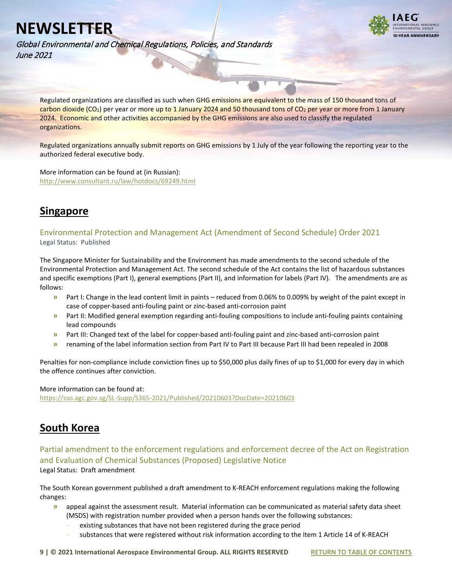

Global Environmental and Chemical Regulations, Policies, and Standards June 2021

Regulated organizations are classified as such when GHG emissions are equivalent to the mass of 150 thousand tons of carbon dioxide (CO<sub>2</sub>) per year or more up to 1 January 2024 and 50 thousand tons of CO<sub>2</sub> per year or more from 1 January 2024. Economic and other activities accompanied by the GHG emissions are also used to classify the regulated organizations.

Regulated organizations annually submit reports on GHG emissions by 1 July of the year following the reporting year to the authorized federal executive body.

More information can be found at (in Russian): <http://www.consultant.ru/law/hotdocs/69249.html>

## <span id="page-8-0"></span>**Singapore**

<span id="page-8-1"></span>Environmental Protection and Management Act (Amendment of Second Schedule) Order 2021 Legal Status: Published

The Singapore Minister for Sustainability and the Environment has made amendments to the second schedule of the Environmental Protection and Management Act. The second schedule of the Act contains the list of hazardous substances and specific exemptions (Part I), general exemptions (Part II), and information for labels (Part IV). The amendments are as follows:

- **»** Part I: Change in the lead content limit in paints reduced from 0.06% to 0.009% by weight of the paint except in case of copper-based anti-fouling paint or zinc-based anti-corrosion paint
- **»** Part II: Modified general exemption regarding anti-fouling compositions to include anti-fouling paints containing lead compounds
- **»** Part III: Changed text of the label for copper-based anti-fouling paint and zinc-based anti-corrosion paint
- **»** renaming of the label information section from Part IV to Part III because Part III had been repealed in 2008

Penalties for non-compliance include conviction fines up to \$50,000 plus daily fines of up to \$1,000 for every day in which the offence continues after conviction.

More information can be found at: <https://sso.agc.gov.sg/SL-Supp/S365-2021/Published/20210603?DocDate=20210603>

## <span id="page-8-2"></span>**South Korea**

<span id="page-8-3"></span>Partial amendment to the enforcement regulations and enforcement decree of the Act on Registration and Evaluation of Chemical Substances (Proposed) Legislative Notice Legal Status: Draft amendment

The South Korean government published a draft amendment to K-REACH enforcement regulations making the following changes:

- **»** appeal against the assessment result. Material information can be communicated as material safety data sheet (MSDS) with registration number provided when a person hands over the following substances:
	- **–** existing substances that have not been registered during the grace period
	- **–** substances that were registered without risk information according to the Item 1 Article 14 of K-REACH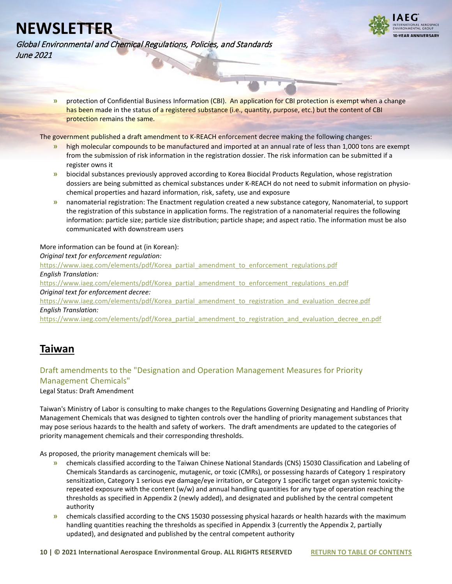

Global Environmental and Chemical Regulations, Policies, and Standards June 2021

> **»** protection of Confidential Business Information (CBI). An application for CBI protection is exempt when a change has been made in the status of a registered substance (i.e., quantity, purpose, etc.) but the content of CBI protection remains the same.

The government published a draft amendment to K-REACH enforcement decree making the following changes:

- **»** high molecular compounds to be manufactured and imported at an annual rate of less than 1,000 tons are exempt from the submission of risk information in the registration dossier. The risk information can be submitted if a register owns it
- **»** biocidal substances previously approved according to Korea Biocidal Products Regulation, whose registration dossiers are being submitted as chemical substances under K-REACH do not need to submit information on physiochemical properties and hazard information, risk, safety, use and exposure
- **»** nanomaterial registration: The Enactment regulation created a new substance category, Nanomaterial, to support the registration of this substance in application forms. The registration of a nanomaterial requires the following information: particle size; particle size distribution; particle shape; and aspect ratio. The information must be also communicated with downstream users

### More information can be found at (in Korean):

#### *Original text for enforcement regulation:*

[https://www.iaeg.com/elements/pdf/Korea\\_partial\\_amendment\\_to\\_enforcement\\_regulations.pdf](https://www.iaeg.com/elements/pdf/Korea_partial_amendment_to_enforcement_regulations.pdf)

*English Translation:*

[https://www.iaeg.com/elements/pdf/Korea\\_partial\\_amendment\\_to\\_enforcement\\_regulations\\_en.pdf](https://www.iaeg.com/elements/pdf/Korea_partial_amendment_to_enforcement_regulations_en.pdf) *Original text for enforcement decree:* 

[https://www.iaeg.com/elements/pdf/Korea\\_partial\\_amendment\\_to\\_registration\\_and\\_evaluation\\_decree.pdf](https://www.iaeg.com/elements/pdf/Korea_partial_amendment_to_registration_and_evaluation_decree.pdf) *English Translation:* 

[https://www.iaeg.com/elements/pdf/Korea\\_partial\\_amendment\\_to\\_registration\\_and\\_evaluation\\_decree\\_en.pdf](https://www.iaeg.com/elements/pdf/Korea_partial_amendment_to_registration_and_evaluation_decree_en.pdf)

## <span id="page-9-0"></span>**Taiwan**

### <span id="page-9-1"></span>Draft amendments to the "Designation and Operation Management Measures for Priority Management Chemicals"

Legal Status: Draft Amendment

Taiwan's Ministry of Labor is consulting to make changes to the Regulations Governing Designating and Handling of Priority Management Chemicals that was designed to tighten controls over the handling of priority management substances that may pose serious hazards to the health and safety of workers. The draft amendments are updated to the categories of priority management chemicals and their corresponding thresholds.

As proposed, the priority management chemicals will be:

- **»** chemicals classified according to the Taiwan Chinese National Standards (CNS) 15030 Classification and Labeling of Chemicals Standards as carcinogenic, mutagenic, or toxic (CMRs), or possessing hazards of Category 1 respiratory sensitization, Category 1 serious eye damage/eye irritation, or Category 1 specific target organ systemic toxicityrepeated exposure with the content (w/w) and annual handling quantities for any type of operation reaching the thresholds as specified in Appendix 2 (newly added), and designated and published by the central competent authority
- **»** chemicals classified according to the CNS 15030 possessing physical hazards or health hazards with the maximum handling quantities reaching the thresholds as specified in Appendix 3 (currently the Appendix 2, partially updated), and designated and published by the central competent authority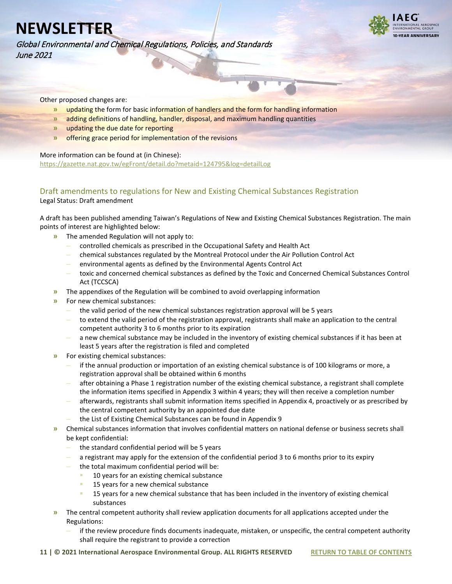**I-VEAR ANNIVERSARY** 

Global Environmental and Chemical Regulations, Policies, and Standards June 2021

Other proposed changes are:

- **»** updating the form for basic information of handlers and the form for handling information
- **»** adding definitions of handling, handler, disposal, and maximum handling quantities
- **»** updating the due date for reporting
- **»** offering grace period for implementation of the revisions

More information can be found at (in Chinese):

<https://gazette.nat.gov.tw/egFront/detail.do?metaid=124795&log=detailLog>

### <span id="page-10-0"></span>Draft amendments to regulations for New and Existing Chemical Substances Registration Legal Status: Draft amendment

A draft has been published amending Taiwan's Regulations of New and Existing Chemical Substances Registration. The main points of interest are highlighted below:

- **»** The amended Regulation will not apply to:
	- **–** controlled chemicals as prescribed in the Occupational Safety and Health Act
	- **–** chemical substances regulated by the Montreal Protocol under the Air Pollution Control Act
	- **–** environmental agents as defined by the Environmental Agents Control Act
	- **–** toxic and concerned chemical substances as defined by the Toxic and Concerned Chemical Substances Control Act (TCCSCA)
- **»** The appendixes of the Regulation will be combined to avoid overlapping information
- **»** For new chemical substances:
	- **–** the valid period of the new chemical substances registration approval will be 5 years
	- **–** to extend the valid period of the registration approval, registrants shall make an application to the central competent authority 3 to 6 months prior to its expiration
	- **–** a new chemical substance may be included in the inventory of existing chemical substances if it has been at least 5 years after the registration is filed and completed
- **»** For existing chemical substances:
	- **–** if the annual production or importation of an existing chemical substance is of 100 kilograms or more, a registration approval shall be obtained within 6 months
	- **–** after obtaining a Phase 1 registration number of the existing chemical substance, a registrant shall complete the information items specified in Appendix 3 within 4 years; they will then receive a completion number
	- **–** afterwards, registrants shall submit information items specified in Appendix 4, proactively or as prescribed by the central competent authority by an appointed due date
	- **–** the List of Existing Chemical Substances can be found in Appendix 9
- **»** Chemical substances information that involves confidential matters on national defense or business secrets shall be kept confidential:
	- **–** the standard confidential period will be 5 years
	- **–** a registrant may apply for the extension of the confidential period 3 to 6 months prior to its expiry
	- **–** the total maximum confidential period will be:
		- 10 years for an existing chemical substance
		- **15 years for a new chemical substance**
		- 15 years for a new chemical substance that has been included in the inventory of existing chemical substances
- **»** The central competent authority shall review application documents for all applications accepted under the Regulations:
	- **–** if the review procedure finds documents inadequate, mistaken, or unspecific, the central competent authority shall require the registrant to provide a correction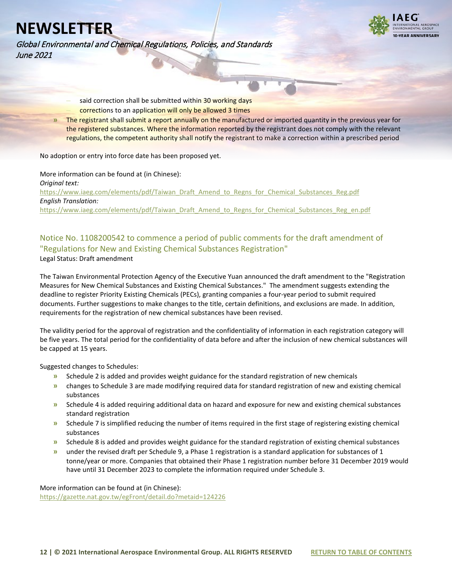

Global Environmental and Chemical Regulations, Policies, and Standards June 2021

- **–** said correction shall be submitted within 30 working days **–** corrections to an application will only be allowed 3 times
- **»** The registrant shall submit a report annually on the manufactured or imported quantity in the previous year for the registered substances. Where the information reported by the registrant does not comply with the relevant regulations, the competent authority shall notify the registrant to make a correction within a prescribed period

No adoption or entry into force date has been proposed yet.

### More information can be found at (in Chinese):

*Original text:* [https://www.iaeg.com/elements/pdf/Taiwan\\_Draft\\_Amend\\_to\\_Regns\\_for\\_Chemical\\_Substances\\_Reg.pdf](https://www.iaeg.com/elements/pdf/Taiwan_Draft_Amend_to_Regns_for_Chemical_Substances_Reg.pdf) *English Translation:* [https://www.iaeg.com/elements/pdf/Taiwan\\_Draft\\_Amend\\_to\\_Regns\\_for\\_Chemical\\_Substances\\_Reg\\_en.pdf](https://www.iaeg.com/elements/pdf/Taiwan_Draft_Amend_to_Regns_for_Chemical_Substances_Reg_en.pdf)

## <span id="page-11-0"></span>Notice No. 1108200542 to commence a period of public comments for the draft amendment of "Regulations for New and Existing Chemical Substances Registration"

Legal Status: Draft amendment

The Taiwan Environmental Protection Agency of the Executive Yuan announced the draft amendment to the "Registration Measures for New Chemical Substances and Existing Chemical Substances." The amendment suggests extending the deadline to register Priority Existing Chemicals (PECs), granting companies a four-year period to submit required documents. Further suggestions to make changes to the title, certain definitions, and exclusions are made. In addition, requirements for the registration of new chemical substances have been revised.

The validity period for the approval of registration and the confidentiality of information in each registration category will be five years. The total period for the confidentiality of data before and after the inclusion of new chemical substances will be capped at 15 years.

Suggested changes to Schedules:

- **»** Schedule 2 is added and provides weight guidance for the standard registration of new chemicals
- **»** changes to Schedule 3 are made modifying required data for standard registration of new and existing chemical substances
- **»** Schedule 4 is added requiring additional data on hazard and exposure for new and existing chemical substances standard registration
- **»** Schedule 7 is simplified reducing the number of items required in the first stage of registering existing chemical substances
- **»** Schedule 8 is added and provides weight guidance for the standard registration of existing chemical substances
- **»** under the revised draft per Schedule 9, a Phase 1 registration is a standard application for substances of 1 tonne/year or more. Companies that obtained their Phase 1 registration number before 31 December 2019 would have until 31 December 2023 to complete the information required under Schedule 3.

More information can be found at (in Chinese): <https://gazette.nat.gov.tw/egFront/detail.do?metaid=124226>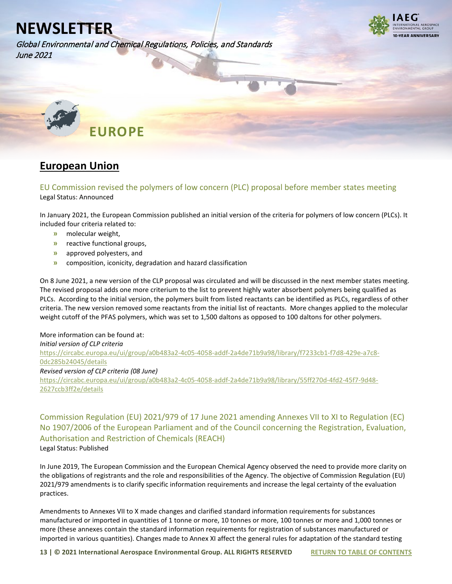Global Environmental and Chemical Regulations, Policies, and Standards June 2021



<span id="page-12-0"></span>

## <span id="page-12-1"></span>**European Union**

<span id="page-12-2"></span>EU Commission revised the polymers of low concern (PLC) proposal before member states meeting Legal Status: Announced

In January 2021, the European Commission published an initial version of the criteria for polymers of low concern (PLCs). It included four criteria related to:

- **»** molecular weight,
- **»** reactive functional groups,
- **»** approved polyesters, and
- **»** composition, iconicity, degradation and hazard classification

On 8 June 2021, a new version of the CLP proposal was circulated and will be discussed in the next member states meeting. The revised proposal adds one more criterium to the list to prevent highly water absorbent polymers being qualified as PLCs. According to the initial version, the polymers built from listed reactants can be identified as PLCs, regardless of other criteria. The new version removed some reactants from the initial list of reactants. More changes applied to the molecular weight cutoff of the PFAS polymers, which was set to 1,500 daltons as opposed to 100 daltons for other polymers.

More information can be found at: *Initial version of CLP criteria* [https://circabc.europa.eu/ui/group/a0b483a2-4c05-4058-addf-2a4de71b9a98/library/f7233cb1-f7d8-429e-a7c8-](https://circabc.europa.eu/ui/group/a0b483a2-4c05-4058-addf-2a4de71b9a98/library/f7233cb1-f7d8-429e-a7c8-0dc285b24045/details) [0dc285b24045/details](https://circabc.europa.eu/ui/group/a0b483a2-4c05-4058-addf-2a4de71b9a98/library/f7233cb1-f7d8-429e-a7c8-0dc285b24045/details)  *Revised version of CLP criteria (08 June)* [https://circabc.europa.eu/ui/group/a0b483a2-4c05-4058-addf-2a4de71b9a98/library/55ff270d-4fd2-45f7-9d48-](https://circabc.europa.eu/ui/group/a0b483a2-4c05-4058-addf-2a4de71b9a98/library/55ff270d-4fd2-45f7-9d48-2627ccb3ff2e/details) [2627ccb3ff2e/details](https://circabc.europa.eu/ui/group/a0b483a2-4c05-4058-addf-2a4de71b9a98/library/55ff270d-4fd2-45f7-9d48-2627ccb3ff2e/details)

<span id="page-12-3"></span>Commission Regulation (EU) 2021/979 of 17 June 2021 amending Annexes VII to XI to Regulation (EC) No 1907/2006 of the European Parliament and of the Council concerning the Registration, Evaluation, Authorisation and Restriction of Chemicals (REACH) Legal Status: Published

In June 2019, The European Commission and the European Chemical Agency observed the need to provide more clarity on the obligations of registrants and the role and responsibilities of the Agency. The objective of Commission Regulation (EU) 2021/979 amendments is to clarify specific information requirements and increase the legal certainty of the evaluation practices.

Amendments to Annexes VII to X made changes and clarified standard information requirements for substances manufactured or imported in quantities of 1 tonne or more, 10 tonnes or more, 100 tonnes or more and 1,000 tonnes or more (these annexes contain the standard information requirements for registration of substances manufactured or imported in various quantities). Changes made to Annex XI affect the general rules for adaptation of the standard testing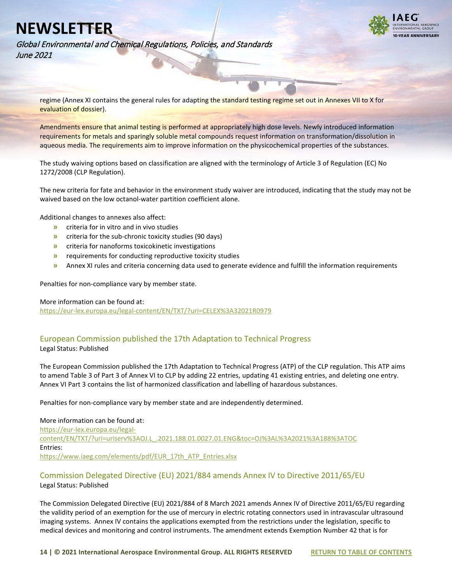

Global Environmental and Chemical Regulations, Policies, and Standards June 2021

regime (Annex XI contains the general rules for adapting the standard testing regime set out in Annexes VII to X for evaluation of dossier).

Amendments ensure that animal testing is performed at appropriately high dose levels. Newly introduced information requirements for metals and sparingly soluble metal compounds request information on transformation/dissolution in aqueous media. The requirements aim to improve information on the physicochemical properties of the substances.

The study waiving options based on classification are aligned with the terminology of Article 3 of Regulation (EC) No 1272/2008 (CLP Regulation).

The new criteria for fate and behavior in the environment study waiver are introduced, indicating that the study may not be waived based on the low octanol-water partition coefficient alone.

Additional changes to annexes also affect:

- **»** criteria for in vitro and in vivo studies
- **»** criteria for the sub-chronic toxicity studies (90 days)
- **»** criteria for nanoforms toxicokinetic investigations
- **»** requirements for conducting reproductive toxicity studies
- **»** Annex XI rules and criteria concerning data used to generate evidence and fulfill the information requirements

Penalties for non-compliance vary by member state.

#### More information can be found at:

<https://eur-lex.europa.eu/legal-content/EN/TXT/?uri=CELEX%3A32021R0979>

## <span id="page-13-0"></span>European Commission published the 17th Adaptation to Technical Progress

Legal Status: Published

The European Commission published the 17th Adaptation to Technical Progress (ATP) of the CLP regulation. This ATP aims to amend Table 3 of Part 3 of Annex VI to CLP by adding 22 entries, updating 41 existing entries, and deleting one entry. Annex VI Part 3 contains the list of harmonized classification and labelling of hazardous substances.

Penalties for non-compliance vary by member state and are independently determined.

#### More information can be found at:

[https://eur-lex.europa.eu/legal](https://eur-lex.europa.eu/legal-content/EN/TXT/?uri=uriserv%3AOJ.L_.2021.188.01.0027.01.ENG&toc=OJ%3AL%3A2021%3A188%3ATOC)[content/EN/TXT/?uri=uriserv%3AOJ.L\\_.2021.188.01.0027.01.ENG&toc=OJ%3AL%3A2021%3A188%3ATOC](https://eur-lex.europa.eu/legal-content/EN/TXT/?uri=uriserv%3AOJ.L_.2021.188.01.0027.01.ENG&toc=OJ%3AL%3A2021%3A188%3ATOC) Entries: [https://www.iaeg.com/elements/pdf/EUR\\_17th\\_ATP\\_Entries.xlsx](https://www.iaeg.com/elements/pdf/EUR_17th_ATP_Entries.xlsx)

### <span id="page-13-1"></span>Commission Delegated Directive (EU) 2021/884 amends Annex IV to Directive 2011/65/EU Legal Status: Published

The Commission Delegated Directive (EU) 2021/884 of 8 March 2021 amends Annex IV of Directive 2011/65/EU regarding the validity period of an exemption for the use of mercury in electric rotating connectors used in intravascular ultrasound imaging systems. Annex IV contains the applications exempted from the restrictions under the legislation, specific to medical devices and monitoring and control instruments. The amendment extends Exemption Number 42 that is for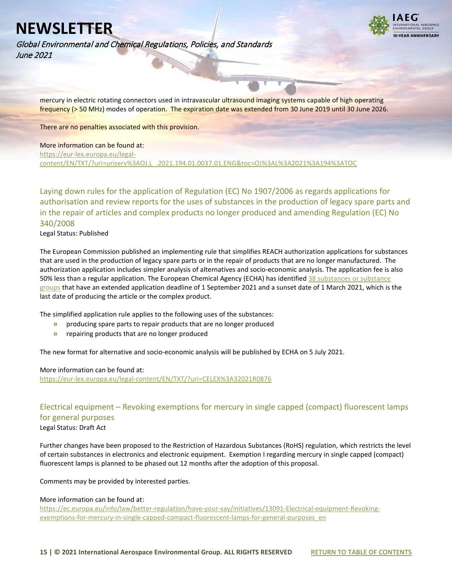

Global Environmental and Chemical Regulations, Policies, and Standards June 2021

mercury in electric rotating connectors used in intravascular ultrasound imaging systems capable of high operating frequency (> 50 MHz) modes of operation. The expiration date was extended from 30 June 2019 until 30 June 2026.

There are no penalties associated with this provision.

More information can be found at: [https://eur-lex.europa.eu/legal](https://eur-lex.europa.eu/legal-content/EN/TXT/?uri=uriserv%3AOJ.L_.2021.194.01.0037.01.ENG&toc=OJ%3AL%3A2021%3A194%3ATOC)[content/EN/TXT/?uri=uriserv%3AOJ.L\\_.2021.194.01.0037.01.ENG&toc=OJ%3AL%3A2021%3A194%3ATOC](https://eur-lex.europa.eu/legal-content/EN/TXT/?uri=uriserv%3AOJ.L_.2021.194.01.0037.01.ENG&toc=OJ%3AL%3A2021%3A194%3ATOC)

<span id="page-14-0"></span>Laying down rules for the application of Regulation (EC) No 1907/2006 as regards applications for authorisation and review reports for the uses of substances in the production of legacy spare parts and in the repair of articles and complex products no longer produced and amending Regulation (EC) No 340/2008

Legal Status: Published

The European Commission published an implementing rule that simplifies REACH authorization applications for substances that are used in the production of legacy spare parts or in the repair of products that are no longer manufactured. The authorization application includes simpler analysis of alternatives and socio-economic analysis. The application fee is also 50% less than a regular application. The European Chemical Agency (ECHA) has identified 38 substances or substance [groups](https://www.iaeg.com/elements/pdf/EUR_Simplified_Authorisation_substances.xlsx) that have an extended application deadline of 1 September 2021 and a sunset date of 1 March 2021, which is the last date of producing the article or the complex product.

The simplified application rule applies to the following uses of the substances:

- **»** producing spare parts to repair products that are no longer produced
- **»** repairing products that are no longer produced

The new format for alternative and socio-economic analysis will be published by ECHA on 5 July 2021.

#### More information can be found at:

<https://eur-lex.europa.eu/legal-content/EN/TXT/?uri=CELEX%3A32021R0876>

## <span id="page-14-1"></span>Electrical equipment – Revoking exemptions for mercury in single capped (compact) fluorescent lamps for general purposes

Legal Status: Draft Act

Further changes have been proposed to the Restriction of Hazardous Substances (RoHS) regulation, which restricts the level of certain substances in electronics and electronic equipment. Exemption I regarding mercury in single capped (compact) fluorescent lamps is planned to be phased out 12 months after the adoption of this proposal.

Comments may be provided by interested parties.

#### More information can be found at:

[https://ec.europa.eu/info/law/better-regulation/have-your-say/initiatives/13091-Electrical-equipment-Revoking](https://ec.europa.eu/info/law/better-regulation/have-your-say/initiatives/13091-Electrical-equipment-Revoking-exemptions-for-mercury-in-single-capped-compact-fluorescent-lamps-for-general-purposes_en)[exemptions-for-mercury-in-single-capped-compact-fluorescent-lamps-for-general-purposes\\_en](https://ec.europa.eu/info/law/better-regulation/have-your-say/initiatives/13091-Electrical-equipment-Revoking-exemptions-for-mercury-in-single-capped-compact-fluorescent-lamps-for-general-purposes_en)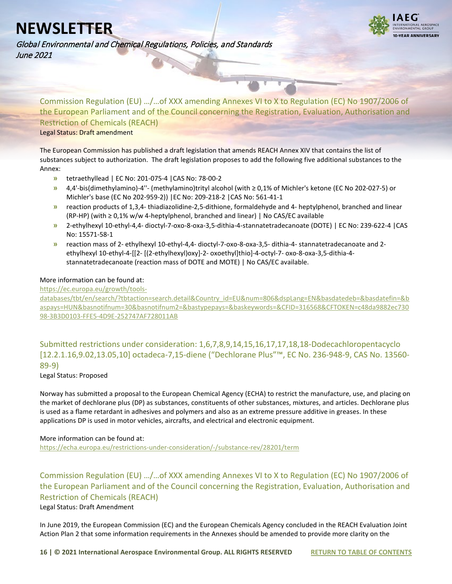**N-YEAR ANNIVERSARY** 

Global Environmental and Chemical Regulations, Policies, and Standards June 2021

<span id="page-15-0"></span>Commission Regulation (EU) …/…of XXX amending Annexes VI to X to Regulation (EC) No 1907/2006 of the European Parliament and of the Council concerning the Registration, Evaluation, Authorisation and Restriction of Chemicals (REACH) Legal Status: Draft amendment

The European Commission has published a draft legislation that amends REACH Annex XIV that contains the list of substances subject to authorization. The draft legislation proposes to add the following five additional substances to the Annex:

- **»** tetraethyllead | EC No: 201-075-4 |CAS No: 78-00-2
- **»** 4,4'-bis(dimethylamino)-4''- (methylamino)trityl alcohol (with ≥ 0,1% of Michler's ketone (EC No 202-027-5) or Michler's base (EC No 202-959-2)) |EC No: 209-218-2 |CAS No: 561-41-1
- **»** reaction products of 1,3,4- thiadiazolidine-2,5-dithione, formaldehyde and 4- heptylphenol, branched and linear (RP-HP) (with ≥ 0,1% w/w 4-heptylphenol, branched and linear) | No CAS/EC available
- **»** 2-ethylhexyl 10-ethyl-4,4- dioctyl-7-oxo-8-oxa-3,5-dithia-4-stannatetradecanoate (DOTE) | EC No: 239-622-4 |CAS No: 15571-58-1
- **»** reaction mass of 2- ethylhexyl 10-ethyl-4,4- dioctyl-7-oxo-8-oxa-3,5- dithia-4- stannatetradecanoate and 2 ethylhexyl 10-ethyl-4-[[2- [(2-ethylhexyl)oxy]-2- oxoethyl]thio]-4-octyl-7- oxo-8-oxa-3,5-dithia-4 stannatetradecanoate (reaction mass of DOTE and MOTE) | No CAS/EC available.

### More information can be found at:

[https://ec.europa.eu/growth/tools-](https://ec.europa.eu/growth/tools-databases/tbt/en/search/?tbtaction=search.detail&Country_id=EU&num=806&dspLang=EN&basdatedeb=&basdatefin=&baspays=HUN&basnotifnum=30&basnotifnum2=&bastypepays=&baskeywords=&CFID=316568&CFTOKEN=c48da9882ec73098-3B3D0103-FFE5-4D9E-252747AF728011AB)

[databases/tbt/en/search/?tbtaction=search.detail&Country\\_id=EU&num=806&dspLang=EN&basdatedeb=&basdatefin=&b](https://ec.europa.eu/growth/tools-databases/tbt/en/search/?tbtaction=search.detail&Country_id=EU&num=806&dspLang=EN&basdatedeb=&basdatefin=&baspays=HUN&basnotifnum=30&basnotifnum2=&bastypepays=&baskeywords=&CFID=316568&CFTOKEN=c48da9882ec73098-3B3D0103-FFE5-4D9E-252747AF728011AB) [aspays=HUN&basnotifnum=30&basnotifnum2=&bastypepays=&baskeywords=&CFID=316568&CFTOKEN=c48da9882ec730](https://ec.europa.eu/growth/tools-databases/tbt/en/search/?tbtaction=search.detail&Country_id=EU&num=806&dspLang=EN&basdatedeb=&basdatefin=&baspays=HUN&basnotifnum=30&basnotifnum2=&bastypepays=&baskeywords=&CFID=316568&CFTOKEN=c48da9882ec73098-3B3D0103-FFE5-4D9E-252747AF728011AB) [98-3B3D0103-FFE5-4D9E-252747AF728011AB](https://ec.europa.eu/growth/tools-databases/tbt/en/search/?tbtaction=search.detail&Country_id=EU&num=806&dspLang=EN&basdatedeb=&basdatefin=&baspays=HUN&basnotifnum=30&basnotifnum2=&bastypepays=&baskeywords=&CFID=316568&CFTOKEN=c48da9882ec73098-3B3D0103-FFE5-4D9E-252747AF728011AB)

<span id="page-15-1"></span>Submitted restrictions under consideration: 1,6,7,8,9,14,15,16,17,17,18,18-Dodecachloropentacyclo [12.2.1.16,9.02,13.05,10] octadeca-7,15-diene ("Dechlorane Plus"™, EC No. 236-948-9, CAS No. 13560- 89-9)

### Legal Status: Proposed

Norway has submitted a proposal to the European Chemical Agency (ECHA) to restrict the manufacture, use, and placing on the market of dechlorane plus (DP) as substances, constituents of other substances, mixtures, and articles. Dechlorane plus is used as a flame retardant in adhesives and polymers and also as an extreme pressure additive in greases. In these applications DP is used in motor vehicles, aircrafts, and electrical and electronic equipment.

### More information can be found at:

<https://echa.europa.eu/restrictions-under-consideration/-/substance-rev/28201/term>

<span id="page-15-2"></span>Commission Regulation (EU) …/…of XXX amending Annexes VI to X to Regulation (EC) No 1907/2006 of the European Parliament and of the Council concerning the Registration, Evaluation, Authorisation and Restriction of Chemicals (REACH)

Legal Status: Draft Amendment

In June 2019, the European Commission (EC) and the European Chemicals Agency concluded in the REACH Evaluation Joint Action Plan 2 that some information requirements in the Annexes should be amended to provide more clarity on the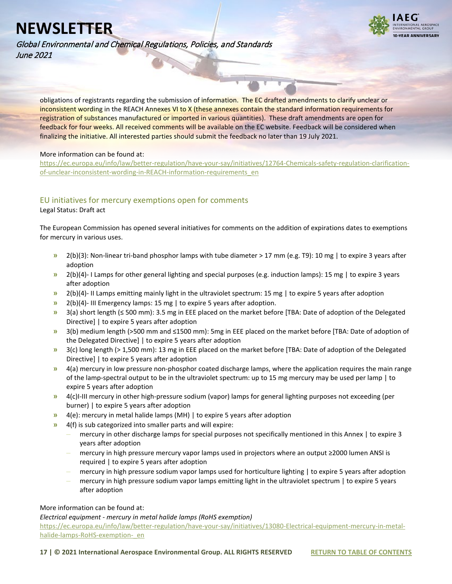**I-VEAR ANNIVERSARY** 

Global Environmental and Chemical Regulations, Policies, and Standards June 2021

obligations of registrants regarding the submission of information. The EC drafted amendments to clarify unclear or inconsistent wording in the REACH Annexes VI to X (these annexes contain the standard information requirements for registration of substances manufactured or imported in various quantities). These draft amendments are open for feedback for four weeks. All received comments will be available on the EC website. Feedback will be considered when finalizing the initiative. All interested parties should submit the feedback no later than 19 July 2021.

#### More information can be found at:

[https://ec.europa.eu/info/law/better-regulation/have-your-say/initiatives/12764-Chemicals-safety-regulation-clarification](https://ec.europa.eu/info/law/better-regulation/have-your-say/initiatives/12764-Chemicals-safety-regulation-clarification-of-unclear-inconsistent-wording-in-REACH-information-requirements_en)[of-unclear-inconsistent-wording-in-REACH-information-requirements\\_en](https://ec.europa.eu/info/law/better-regulation/have-your-say/initiatives/12764-Chemicals-safety-regulation-clarification-of-unclear-inconsistent-wording-in-REACH-information-requirements_en)

### <span id="page-16-0"></span>EU initiatives for mercury exemptions open for comments

Legal Status: Draft act

The European Commission has opened several initiatives for comments on the addition of expirations dates to exemptions for mercury in various uses.

- **»** 2(b)(3): Non-linear tri-band phosphor lamps with tube diameter > 17 mm (e.g. T9): 10 mg | to expire 3 years after adoption
- **»** 2(b)(4)- I Lamps for other general lighting and special purposes (e.g. induction lamps): 15 mg | to expire 3 years after adoption
- **»** 2(b)(4)- II Lamps emitting mainly light in the ultraviolet spectrum: 15 mg | to expire 5 years after adoption
- **»** 2(b)(4)- III Emergency lamps: 15 mg | to expire 5 years after adoption.
- **»** 3(a) short length (≤ 500 mm): 3.5 mg in EEE placed on the market before [TBA: Date of adoption of the Delegated Directive] | to expire 5 years after adoption
- **»** 3(b) medium length (>500 mm and ≤1500 mm): 5mg in EEE placed on the market before [TBA: Date of adoption of the Delegated Directive] | to expire 5 years after adoption
- **»** 3(c) long length (> 1,500 mm): 13 mg in EEE placed on the market before [TBA: Date of adoption of the Delegated Directive] | to expire 5 years after adoption
- **»** 4(a) mercury in low pressure non-phosphor coated discharge lamps, where the application requires the main range of the lamp-spectral output to be in the ultraviolet spectrum: up to 15 mg mercury may be used per lamp | to expire 5 years after adoption
- **»** 4(c)I-III mercury in other high-pressure sodium (vapor) lamps for general lighting purposes not exceeding (per burner) | to expire 5 years after adoption
- **»** 4(e): mercury in metal halide lamps (MH) | to expire 5 years after adoption
- **»** 4(f) is sub categorized into smaller parts and will expire:
	- **–** mercury in other discharge lamps for special purposes not specifically mentioned in this Annex | to expire 3 years after adoption
	- **–** mercury in high pressure mercury vapor lamps used in projectors where an output ≥2000 lumen ANSI is required | to expire 5 years after adoption
	- **–** mercury in high pressure sodium vapor lamps used for horticulture lighting | to expire 5 years after adoption
	- **–** mercury in high pressure sodium vapor lamps emitting light in the ultraviolet spectrum | to expire 5 years after adoption

More information can be found at:

*Electrical equipment - mercury in metal halide lamps (RoHS exemption)*

[https://ec.europa.eu/info/law/better-regulation/have-your-say/initiatives/13080-Electrical-equipment-mercury-in-metal](https://ec.europa.eu/info/law/better-regulation/have-your-say/initiatives/13080-Electrical-equipment-mercury-in-metal-halide-lamps-RoHS-exemption-_en)[halide-lamps-RoHS-exemption-\\_en](https://ec.europa.eu/info/law/better-regulation/have-your-say/initiatives/13080-Electrical-equipment-mercury-in-metal-halide-lamps-RoHS-exemption-_en)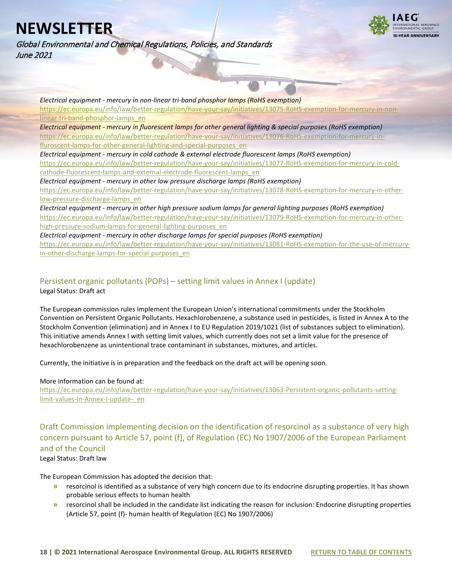Global Environmental and Chemical Regulations, Policies, and Standards June 2021



*Electrical equipment - mercury in non-linear tri-band phosphor lamps (RoHS exemption)* [https://ec.europa.eu/info/law/better-regulation/have-your-say/initiatives/13075-RoHS-exemption-for-mercury-in-non](https://ec.europa.eu/info/law/better-regulation/have-your-say/initiatives/13075-RoHS-exemption-for-mercury-in-non-linear-tri-band-phosphor-lamps_en)[linear-tri-band-phosphor-lamps\\_en](https://ec.europa.eu/info/law/better-regulation/have-your-say/initiatives/13075-RoHS-exemption-for-mercury-in-non-linear-tri-band-phosphor-lamps_en) *Electrical equipment - mercury in fluorescent lamps for other general lighting & special purposes (RoHS exemption)* [https://ec.europa.eu/info/law/better-regulation/have-your-say/initiatives/13076-RoHS-exemption-for-mercury-in](https://ec.europa.eu/info/law/better-regulation/have-your-say/initiatives/13076-RoHS-exemption-for-mercury-in-fluroscent-lamps-for-other-general-lighting-and-special-purposes_en)[fluroscent-lamps-for-other-general-lighting-and-special-purposes\\_en](https://ec.europa.eu/info/law/better-regulation/have-your-say/initiatives/13076-RoHS-exemption-for-mercury-in-fluroscent-lamps-for-other-general-lighting-and-special-purposes_en) *Electrical equipment - mercury in cold cathode & external electrode fluorescent lamps (RoHS exemption)* [https://ec.europa.eu/info/law/better-regulation/have-your-say/initiatives/13077-RoHS-exemption-for-mercury-in-cold](https://ec.europa.eu/info/law/better-regulation/have-your-say/initiatives/13077-RoHS-exemption-for-mercury-in-cold-cathode-fluorescent-lamps-and-external-electrode-fluorescent-lamps_en)[cathode-fluorescent-lamps-and-external-electrode-fluorescent-lamps\\_en](https://ec.europa.eu/info/law/better-regulation/have-your-say/initiatives/13077-RoHS-exemption-for-mercury-in-cold-cathode-fluorescent-lamps-and-external-electrode-fluorescent-lamps_en) *Electrical equipment - mercury in other low pressure discharge lamps (RoHS exemption)* [https://ec.europa.eu/info/law/better-regulation/have-your-say/initiatives/13078-RoHS-exemption-for-mercury-in-other](https://ec.europa.eu/info/law/better-regulation/have-your-say/initiatives/13078-RoHS-exemption-for-mercury-in-other-low-pressure-discharge-lamps_en)[low-pressure-discharge-lamps\\_en](https://ec.europa.eu/info/law/better-regulation/have-your-say/initiatives/13078-RoHS-exemption-for-mercury-in-other-low-pressure-discharge-lamps_en) *Electrical equipment - mercury in other high pressure sodium lamps for general lighting purposes (RoHS exemption)* [https://ec.europa.eu/info/law/better-regulation/have-your-say/initiatives/13079-RoHS-exemption-for-mercury-in-other-](https://ec.europa.eu/info/law/better-regulation/have-your-say/initiatives/13079-RoHS-exemption-for-mercury-in-other-high-pressure-sodium-lamps-for-general-lighting-purposes_en)

[high-pressure-sodium-lamps-for-general-lighting-purposes\\_en](https://ec.europa.eu/info/law/better-regulation/have-your-say/initiatives/13079-RoHS-exemption-for-mercury-in-other-high-pressure-sodium-lamps-for-general-lighting-purposes_en) *Electrical equipment - mercury in other discharge lamps for special purposes (RoHS exemption)*

[https://ec.europa.eu/info/law/better-regulation/have-your-say/initiatives/13081-RoHS-exemption-for-the-use-of-mercury](https://ec.europa.eu/info/law/better-regulation/have-your-say/initiatives/13081-RoHS-exemption-for-the-use-of-mercury-in-other-discharge-lamps-for-special-purposes_en)[in-other-discharge-lamps-for-special-purposes\\_en](https://ec.europa.eu/info/law/better-regulation/have-your-say/initiatives/13081-RoHS-exemption-for-the-use-of-mercury-in-other-discharge-lamps-for-special-purposes_en)

### <span id="page-17-0"></span>Persistent organic pollutants (POPs) – setting limit values in Annex I (update) Legal Status: Draft act

The European commission rules implement the European Union's international commitments under the Stockholm Convention on Persistent Organic Pollutants. Hexachlorobenzene, a substance used in pesticides, is listed in Annex A to the Stockholm Convention (elimination) and in Annex I to EU Regulation 2019/1021 (list of substances subject to elimination). This initiative amends Annex I with setting limit values, which currently does not set a limit value for the presence of hexachlorobenzene as unintentional trace contaminant in substances, mixtures, and articles.

Currently, the initiative is in preparation and the feedback on the draft act will be opening soon.

### More information can be found at:

[https://ec.europa.eu/info/law/better-regulation/have-your-say/initiatives/13063-Persistent-organic-pollutants-setting](https://ec.europa.eu/info/law/better-regulation/have-your-say/initiatives/13063-Persistent-organic-pollutants-setting-limit-values-in-Annex-I-update-_en)[limit-values-in-Annex-I-update-\\_en](https://ec.europa.eu/info/law/better-regulation/have-your-say/initiatives/13063-Persistent-organic-pollutants-setting-limit-values-in-Annex-I-update-_en)

<span id="page-17-1"></span>Draft Commission implementing decision on the identification of resorcinol as a substance of very high concern pursuant to Article 57, point (f), of Regulation (EC) No 1907/2006 of the European Parliament and of the Council

Legal Status: Draft law

The European Commission has adopted the decision that:

- **»** resorcinol is identified as a substance of very high concern due to its endocrine disrupting properties. It has shown probable serious effects to human health
- **»** resorcinol shall be included in the candidate list indicating the reason for inclusion: Endocrine disrupting properties (Article 57, point (f)- human health of Regulation (EC) No 1907/2006)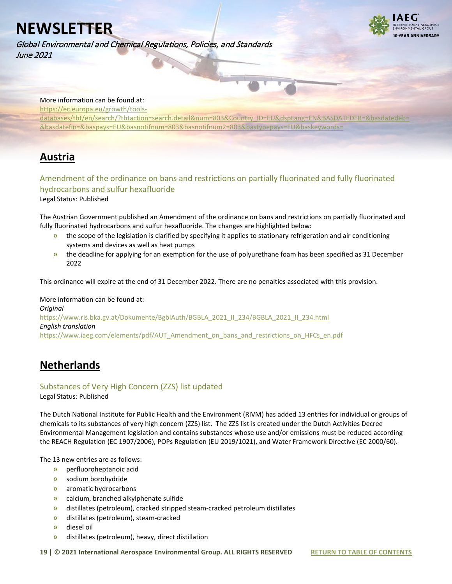



### More information can be found at:

[https://ec.europa.eu/growth/tools-](https://ec.europa.eu/growth/tools-databases/tbt/en/search/?tbtaction=search.detail&num=803&Country_ID=EU&dspLang=EN&BASDATEDEB=&basdatedeb=&basdatefin=&baspays=EU&basnotifnum=803&basnotifnum2=803&bastypepays=EU&baskeywords=)

databases/tbt/en/search/?tbtaction=search.detail&num=803&Country\_ID=EU&dspLang=EN&BASDATEDEB=&basdatede [&basdatefin=&baspays=EU&basnotifnum=803&basnotifnum2=803&bastypepays=EU&baskeywords=](https://ec.europa.eu/growth/tools-databases/tbt/en/search/?tbtaction=search.detail&num=803&Country_ID=EU&dspLang=EN&BASDATEDEB=&basdatedeb=&basdatefin=&baspays=EU&basnotifnum=803&basnotifnum2=803&bastypepays=EU&baskeywords=)

# <span id="page-18-0"></span>**Austria**

## <span id="page-18-1"></span>Amendment of the ordinance on bans and restrictions on partially fluorinated and fully fluorinated hydrocarbons and sulfur hexafluoride

Legal Status: Published

The Austrian Government published an Amendment of the ordinance on bans and restrictions on partially fluorinated and fully fluorinated hydrocarbons and sulfur hexafluoride. The changes are highlighted below:

- **»** the scope of the legislation is clarified by specifying it applies to stationary refrigeration and air conditioning systems and devices as well as heat pumps
- **»** the deadline for applying for an exemption for the use of polyurethane foam has been specified as 31 December 2022

This ordinance will expire at the end of 31 December 2022. There are no penalties associated with this provision.

More information can be found at: *Original* [https://www.ris.bka.gv.at/Dokumente/BgblAuth/BGBLA\\_2021\\_II\\_234/BGBLA\\_2021\\_II\\_234.html](https://www.ris.bka.gv.at/Dokumente/BgblAuth/BGBLA_2021_II_234/BGBLA_2021_II_234.html) *English translation* [https://www.iaeg.com/elements/pdf/AUT\\_Amendment\\_on\\_bans\\_and\\_restrictions\\_on\\_HFCs\\_en.pdf](https://www.iaeg.com/elements/pdf/AUT_Amendment_on_bans_and_restrictions_on_HFCs_en.pdf)

## <span id="page-18-2"></span>**Netherlands**

## <span id="page-18-3"></span>Substances of Very High Concern (ZZS) list updated

Legal Status: Published

The Dutch National Institute for Public Health and the Environment (RIVM) has added 13 entries for individual or groups of chemicals to its substances of very high concern (ZZS) list. The ZZS list is created under the Dutch Activities Decree Environmental Management legislation and contains substances whose use and/or emissions must be reduced according the REACH Regulation (EC 1907/2006), POPs Regulation (EU 2019/1021), and Water Framework Directive (EC 2000/60).

The 13 new entries are as follows:

- **»** perfluoroheptanoic acid
- **»** sodium borohydride
- **»** aromatic hydrocarbons
- **»** calcium, branched alkylphenate sulfide
- **»** distillates (petroleum), cracked stripped steam-cracked petroleum distillates
- **»** distillates (petroleum), steam-cracked
- **»** diesel oil
- **»** distillates (petroleum), heavy, direct distillation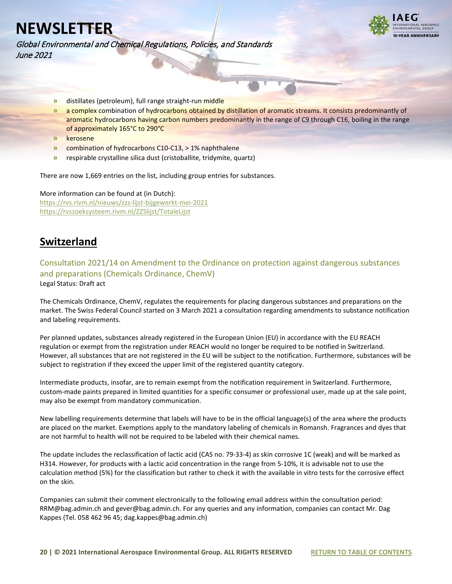

Global Environmental and Chemical Regulations, Policies, and Standards June 2021

- **»** distillates (petroleum), full range straight-run middle
- **»** a complex combination of hydrocarbons obtained by distillation of aromatic streams. It consists predominantly of aromatic hydrocarbons having carbon numbers predominantly in the range of C9 through C16, boiling in the range of approximately 165°C to 290°C
- **»** kerosene
- **»** combination of hydrocarbons C10-C13, > 1% naphthalene
- **»** respirable crystalline silica dust (cristoballite, tridymite, quartz)

There are now 1,669 entries on the list, including group entries for substances.

More information can be found at (in Dutch): <https://rvs.rivm.nl/nieuws/zzs-lijst-bijgewerkt-mei-2021> <https://rvszoeksysteem.rivm.nl/ZZSlijst/TotaleLijst>

## <span id="page-19-0"></span>**Switzerland**

<span id="page-19-1"></span>Consultation 2021/14 on Amendment to the Ordinance on protection against dangerous substances and preparations (Chemicals Ordinance, ChemV) Legal Status: Draft act

The Chemicals Ordinance, ChemV, regulates the requirements for placing dangerous substances and preparations on the market. The Swiss Federal Council started on 3 March 2021 a consultation regarding amendments to substance notification and labeling requirements.

Per planned updates, substances already registered in the European Union (EU) in accordance with the EU REACH regulation or exempt from the registration under REACH would no longer be required to be notified in Switzerland. However, all substances that are not registered in the EU will be subject to the notification. Furthermore, substances will be subject to registration if they exceed the upper limit of the registered quantity category.

Intermediate products, insofar, are to remain exempt from the notification requirement in Switzerland. Furthermore, custom-made paints prepared in limited quantities for a specific consumer or professional user, made up at the sale point, may also be exempt from mandatory communication.

New labelling requirements determine that labels will have to be in the official language(s) of the area where the products are placed on the market. Exemptions apply to the mandatory labeling of chemicals in Romansh. Fragrances and dyes that are not harmful to health will not be required to be labeled with their chemical names.

The update includes the reclassification of lactic acid (CAS no. 79-33-4) as skin corrosive 1C (weak) and will be marked as H314. However, for products with a lactic acid concentration in the range from 5-10%, it is advisable not to use the calculation method (5%) for the classification but rather to check it with the available in vitro tests for the corrosive effect on the skin.

Companies can submit their comment electronically to the following email address within the consultation period: RRM@bag.admin.ch and gever@bag.admin.ch. For any queries and any information, companies can contact Mr. Dag Kappes (Tel. 058 462 96 45; dag.kappes@bag.admin.ch)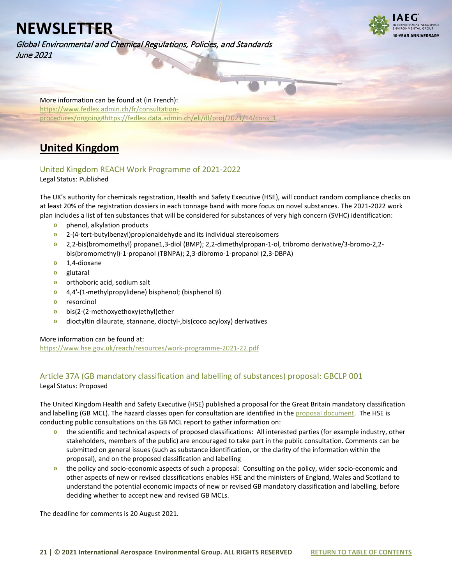Global Environmental and Chemical Regulations, Policies, and Standards June 2021



More information can be found at (in French): [https://www.fedlex.admin.ch/fr/consultation](https://www.fedlex.admin.ch/fr/consultation-procedures/ongoing#https://fedlex.data.admin.ch/eli/dl/proj/2021/14/cons_1)[procedures/ongoing#https://fedlex.data.admin.ch/eli/dl/proj/2021/14/cons\\_1](https://www.fedlex.admin.ch/fr/consultation-procedures/ongoing#https://fedlex.data.admin.ch/eli/dl/proj/2021/14/cons_1)

## <span id="page-20-0"></span>**United Kingdom**

## <span id="page-20-1"></span>United Kingdom REACH Work Programme of 2021-2022

Legal Status: Published

The UK's authority for chemicals registration, Health and Safety Executive (HSE), will conduct random compliance checks on at least 20% of the registration dossiers in each tonnage band with more focus on novel substances. The 2021-2022 work plan includes a list of ten substances that will be considered for substances of very high concern (SVHC) identification:

- **»** phenol, alkylation products
- **»** 2-(4-tert-butylbenzyl)propionaldehyde and its individual stereoisomers
- **»** 2,2-bis(bromomethyl) propane1,3-diol (BMP); 2,2-dimethylpropan-1-ol, tribromo derivative/3-bromo-2,2 bis(bromomethyl)-1-propanol (TBNPA); 2,3-dibromo-1-propanol (2,3-DBPA)
- **»** 1,4-dioxane
- **»** glutaral
- **»** orthoboric acid, sodium salt
- **»** 4,4'-(1-methylpropylidene) bisphenol; (bisphenol B)
- **»** resorcinol
- **»** bis(2-(2-methoxyethoxy)ethyl)ether
- **»** dioctyltin dilaurate, stannane, dioctyl-,bis(coco acyloxy) derivatives

### More information can be found at:

<https://www.hse.gov.uk/reach/resources/work-programme-2021-22.pdf>

# <span id="page-20-2"></span>Article 37A (GB mandatory classification and labelling of substances) proposal: GBCLP 001

Legal Status: Proposed

The United Kingdom Health and Safety Executive (HSE) published a proposal for the Great Britain mandatory classification and labelling (GB MCL). The hazard classes open for consultation are identified in th[e proposal document.](https://consultations.hse.gov.uk/crd-clp/clp-001-cinmethylin-gb-mcl-proposal/supporting_documents/gbclpmclproposalcinmethylin.pdf) The HSE is conducting public consultations on this GB MCL report to gather information on:

- **»** the scientific and technical aspects of proposed classifications: All interested parties (for example industry, other stakeholders, members of the public) are encouraged to take part in the public consultation. Comments can be submitted on general issues (such as substance identification, or the clarity of the information within the proposal), and on the proposed classification and labelling
- **»** the policy and socio-economic aspects of such a proposal: Consulting on the policy, wider socio-economic and other aspects of new or revised classifications enables HSE and the ministers of England, Wales and Scotland to understand the potential economic impacts of new or revised GB mandatory classification and labelling, before deciding whether to accept new and revised GB MCLs.

The deadline for comments is 20 August 2021.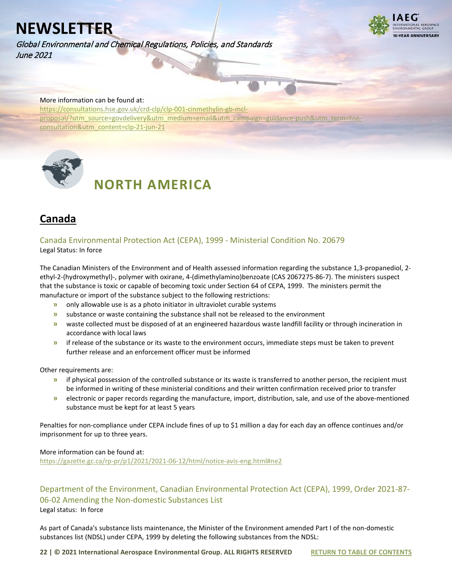Global Environmental and Chemical Regulations, Policies, and Standards June 2021



### More information can be found at:

[https://consultations.hse.gov.uk/crd-clp/clp-001-cinmethylin-gb-mcl](https://consultations.hse.gov.uk/crd-clp/clp-001-cinmethylin-gb-mcl-proposal/?utm_source=govdelivery&utm_medium=email&utm_campaign=guidance-push&utm_term=hse-consultation&utm_content=clp-21-jun-21)[proposal/?utm\\_source=govdelivery&utm\\_medium=email&utm\\_campaign=guidance-push&utm\\_term=hse](https://consultations.hse.gov.uk/crd-clp/clp-001-cinmethylin-gb-mcl-proposal/?utm_source=govdelivery&utm_medium=email&utm_campaign=guidance-push&utm_term=hse-consultation&utm_content=clp-21-jun-21)[consultation&utm\\_content=clp-21-jun-21](https://consultations.hse.gov.uk/crd-clp/clp-001-cinmethylin-gb-mcl-proposal/?utm_source=govdelivery&utm_medium=email&utm_campaign=guidance-push&utm_term=hse-consultation&utm_content=clp-21-jun-21)

<span id="page-21-0"></span>

# **NORTH AMERICA**

## <span id="page-21-1"></span>**Canada**

<span id="page-21-2"></span>Canada Environmental Protection Act (CEPA), 1999 - Ministerial Condition No. 20679 Legal Status: In force

The Canadian Ministers of the Environment and of Health assessed information regarding the substance 1,3-propanediol, 2 ethyl-2-(hydroxymethyl)-, polymer with oxirane, 4-(dimethylamino)benzoate (CAS 2067275-86-7). The ministers suspect that the substance is toxic or capable of becoming toxic under Section 64 of CEPA, 1999. The ministers permit the manufacture or import of the substance subject to the following restrictions:

- **»** only allowable use is as a photo initiator in ultraviolet curable systems
- **»** substance or waste containing the substance shall not be released to the environment
- **»** waste collected must be disposed of at an engineered hazardous waste landfill facility or through incineration in accordance with local laws
- **»** if release of the substance or its waste to the environment occurs, immediate steps must be taken to prevent further release and an enforcement officer must be informed

Other requirements are:

- **»** if physical possession of the controlled substance or its waste is transferred to another person, the recipient must be informed in writing of these ministerial conditions and their written confirmation received prior to transfer
- **»** electronic or paper records regarding the manufacture, import, distribution, sale, and use of the above-mentioned substance must be kept for at least 5 years

Penalties for non-compliance under CEPA include fines of up to \$1 million a day for each day an offence continues and/or imprisonment for up to three years.

#### More information can be found at:

<https://gazette.gc.ca/rp-pr/p1/2021/2021-06-12/html/notice-avis-eng.html#ne2>

<span id="page-21-3"></span>Department of the Environment, Canadian Environmental Protection Act (CEPA), 1999, Order 2021-87- 06-02 Amending the Non-domestic Substances List Legal status: In force

As part of Canada's substance lists maintenance, the Minister of the Environment amended Part I of the non-domestic substances list (NDSL) under CEPA, 1999 by deleting the following substances from the NDSL: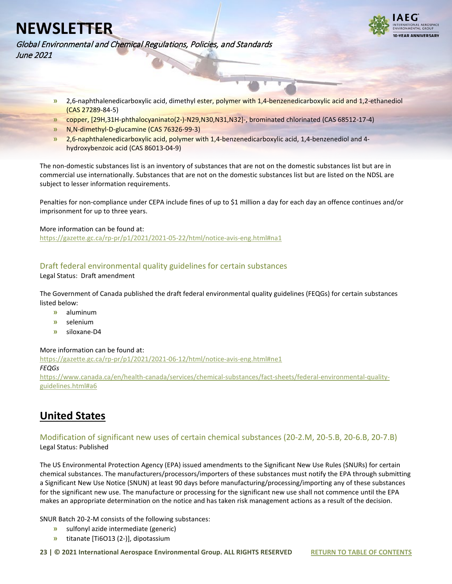

Global Environmental and Chemical Regulations, Policies, and Standards June 2021

- **»** 2,6-naphthalenedicarboxylic acid, dimethyl ester, polymer with 1,4-benzenedicarboxylic acid and 1,2-ethanediol (CAS 27289-84-5)
- **»** copper, [29H,31H-phthalocyaninato(2-)-N29,N30,N31,N32]-, brominated chlorinated (CAS 68512-17-4)
- **»** N,N-dimethyl-D-glucamine (CAS 76326-99-3)
- **»** 2,6-naphthalenedicarboxylic acid, polymer with 1,4-benzenedicarboxylic acid, 1,4-benzenediol and 4 hydroxybenzoic acid (CAS 86013-04-9)

The non-domestic substances list is an inventory of substances that are not on the domestic substances list but are in commercial use internationally. Substances that are not on the domestic substances list but are listed on the NDSL are subject to lesser information requirements.

Penalties for non-compliance under CEPA include fines of up to \$1 million a day for each day an offence continues and/or imprisonment for up to three years.

More information can be found at:

<https://gazette.gc.ca/rp-pr/p1/2021/2021-05-22/html/notice-avis-eng.html#na1>

### Draft federal environmental quality guidelines for certain substances

Legal Status: Draft amendment

The Government of Canada published the draft federal environmental quality guidelines (FEQGs) for certain substances listed below:

- **»** aluminum
- **»** selenium
- **»** siloxane-D4

### More information can be found at:

<https://gazette.gc.ca/rp-pr/p1/2021/2021-06-12/html/notice-avis-eng.html#ne1> *FEQGs* [https://www.canada.ca/en/health-canada/services/chemical-substances/fact-sheets/federal-environmental-quality](https://www.canada.ca/en/health-canada/services/chemical-substances/fact-sheets/federal-environmental-quality-guidelines.html#a6)[guidelines.html#a6](https://www.canada.ca/en/health-canada/services/chemical-substances/fact-sheets/federal-environmental-quality-guidelines.html#a6)

## <span id="page-22-0"></span>**United States**

### <span id="page-22-1"></span>Modification of significant new uses of certain chemical substances (20-2.M, 20-5.B, 20-6.B, 20-7.B) Legal Status: Published

The US Environmental Protection Agency (EPA) issued amendments to the Significant New Use Rules (SNURs) for certain chemical substances. The manufacturers/processors/importers of these substances must notify the EPA through submitting a Significant New Use Notice (SNUN) at least 90 days before manufacturing/processing/importing any of these substances for the significant new use. The manufacture or processing for the significant new use shall not commence until the EPA makes an appropriate determination on the notice and has taken risk management actions as a result of the decision.

SNUR Batch 20-2-M consists of the following substances:

- **»** sulfonyl azide intermediate (generic)
- **»** titanate [Ti6O13 (2-)], dipotassium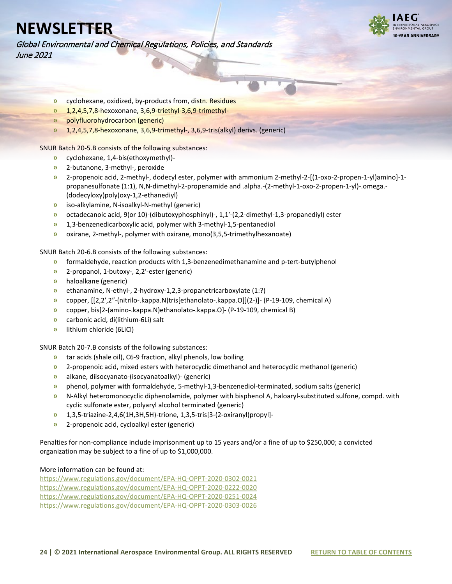

Global Environmental and Chemical Regulations, Policies, and Standards June 2021

- **»** cyclohexane, oxidized, by-products from, distn. Residues
- **»** 1,2,4,5,7,8-hexoxonane, 3,6,9-triethyl-3,6,9-trimethyl-
- **»** polyfluorohydrocarbon (generic)
- **»** 1,2,4,5,7,8-hexoxonane, 3,6,9-trimethyl-, 3,6,9-tris(alkyl) derivs. (generic)

SNUR Batch 20-5.B consists of the following substances:

- **»** cyclohexane, 1,4-bis(ethoxymethyl)-
- **»** 2-butanone, 3-methyl-, peroxide
- **»** 2-propenoic acid, 2-methyl-, dodecyl ester, polymer with ammonium 2-methyl-2-[(1-oxo-2-propen-1-yl)amino]-1 propanesulfonate (1:1), N,N-dimethyl-2-propenamide and .alpha.-(2-methyl-1-oxo-2-propen-1-yl)-.omega.- (dodecyloxy)poly(oxy-1,2-ethanediyl)
- **»** iso-alkylamine, N-isoalkyl-N-methyl (generic)
- **»** octadecanoic acid, 9(or 10)-(dibutoxyphosphinyl)-, 1,1′-(2,2-dimethyl-1,3-propanediyl) ester
- **»** 1,3-benzenedicarboxylic acid, polymer with 3-methyl-1,5-pentanediol
- **»** oxirane, 2-methyl-, polymer with oxirane, mono(3,5,5-trimethylhexanoate)

SNUR Batch 20-6.B consists of the following substances:

- **»** formaldehyde, reaction products with 1,3-benzenedimethanamine and p-tert-butylphenol
- **»** 2-propanol, 1-butoxy-, 2,2′-ester (generic)
- **»** haloalkane (generic)
- **»** ethanamine, N-ethyl-, 2-hydroxy-1,2,3-propanetricarboxylate (1:?)
- **»** copper, [[2,2′,2″-(nitrilo-.kappa.N)tris[ethanolato-.kappa.O]](2-)]- (P-19-109, chemical A)
- **»** copper, bis[2-(amino-.kappa.N)ethanolato-.kappa.O]- (P-19-109, chemical B)
- **»** carbonic acid, di(lithium-6Li) salt
- **»** lithium chloride (6LiCl)

SNUR Batch 20-7.B consists of the following substances:

- **»** tar acids (shale oil), C6-9 fraction, alkyl phenols, low boiling
- **»** 2-propenoic acid, mixed esters with heterocyclic dimethanol and heterocyclic methanol (generic)
- **»** alkane, diisocyanato-(isocyanatoalkyl)- (generic)
- **»** phenol, polymer with formaldehyde, 5-methyl-1,3-benzenediol-terminated, sodium salts (generic)
- **»** N-Alkyl heteromonocyclic diphenolamide, polymer with bisphenol A, haloaryl-substituted sulfone, compd. with cyclic sulfonate ester, polyaryl alcohol terminated (generic)
- **»** 1,3,5-triazine-2,4,6(1H,3H,5H)-trione, 1,3,5-tris[3-(2-oxiranyl)propyl]-
- **»** 2-propenoic acid, cycloalkyl ester (generic)

Penalties for non-compliance include imprisonment up to 15 years and/or a fine of up to \$250,000; a convicted organization may be subject to a fine of up to \$1,000,000.

#### More information can be found at:

<https://www.regulations.gov/document/EPA-HQ-OPPT-2020-0302-0021> <https://www.regulations.gov/document/EPA-HQ-OPPT-2020-0222-0020> <https://www.regulations.gov/document/EPA-HQ-OPPT-2020-0251-0024> <https://www.regulations.gov/document/EPA-HQ-OPPT-2020-0303-0026>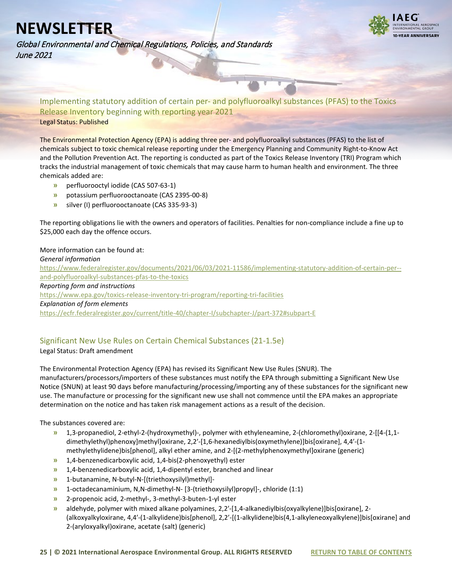**VEAR ANNIVERSARY** 

Global Environmental and Chemical Regulations, Policies, and Standards June 2021

<span id="page-24-0"></span>Implementing statutory addition of certain per- and polyfluoroalkyl substances (PFAS) to the Toxics Release Inventory beginning with reporting year 2021 Legal Status: Published

The Environmental Protection Agency (EPA) is adding three per- and polyfluoroalkyl substances (PFAS) to the list of chemicals subject to toxic chemical release reporting under the Emergency Planning and Community Right-to-Know Act and the Pollution Prevention Act. The reporting is conducted as part of the Toxics Release Inventory (TRI) Program which tracks the industrial management of toxic chemicals that may cause harm to human health and environment. The three chemicals added are:

- **»** perfluorooctyl iodide (CAS 507-63-1)
- **»** potassium perfluorooctanoate (CAS 2395-00-8)
- **»** silver (I) perfluorooctanoate (CAS 335-93-3)

The reporting obligations lie with the owners and operators of facilities. Penalties for non-compliance include a fine up to \$25,000 each day the offence occurs.

### More information can be found at:

*General information* [https://www.federalregister.gov/documents/2021/06/03/2021-11586/implementing-statutory-addition-of-certain-per-](https://www.federalregister.gov/documents/2021/06/03/2021-11586/implementing-statutory-addition-of-certain-per--and-polyfluoroalkyl-substances-pfas-to-the-toxics) [and-polyfluoroalkyl-substances-pfas-to-the-toxics](https://www.federalregister.gov/documents/2021/06/03/2021-11586/implementing-statutory-addition-of-certain-per--and-polyfluoroalkyl-substances-pfas-to-the-toxics) *Reporting form and instructions* <https://www.epa.gov/toxics-release-inventory-tri-program/reporting-tri-facilities> *Explanation of form elements*  <https://ecfr.federalregister.gov/current/title-40/chapter-I/subchapter-J/part-372#subpart-E>

### <span id="page-24-1"></span>Significant New Use Rules on Certain Chemical Substances (21-1.5e)

### Legal Status: Draft amendment

The Environmental Protection Agency (EPA) has revised its Significant New Use Rules (SNUR). The manufacturers/processors/importers of these substances must notify the EPA through submitting a Significant New Use Notice (SNUN) at least 90 days before manufacturing/processing/importing any of these substances for the significant new use. The manufacture or processing for the significant new use shall not commence until the EPA makes an appropriate determination on the notice and has taken risk management actions as a result of the decision.

The substances covered are:

- **»** 1,3-propanediol, 2-ethyl-2-(hydroxymethyl)-, polymer with ethyleneamine, 2-(chloromethyl)oxirane, 2-[[4-(1,1 dimethylethyl)phenoxy]methyl]oxirane, 2,2′-[1,6-hexanediylbis(oxymethylene)]bis[oxirane], 4,4′-(1 methylethylidene)bis[phenol], alkyl ether amine, and 2-[(2-methylphenoxymethyl]oxirane (generic)
- **»** 1,4-benzenedicarboxylic acid, 1,4-bis(2-phenoxyethyl) ester
- **»** 1,4-benzenedicarboxylic acid, 1,4-dipentyl ester, branched and linear
- **»** 1-butanamine, N-butyl-N-[(triethoxysilyl)methyl]-
- **»** 1-octadecanaminium, N,N-dimethyl-N- [3-(triethoxysilyl)propyl]-, chloride (1:1)
- **»** 2-propenoic acid, 2-methyl-, 3-methyl-3-buten-1-yl ester
- **»** aldehyde, polymer with mixed alkane polyamines, 2,2′-[1,4-alkanediylbis(oxyalkylene)]bis[oxirane], 2- (alkoxyalkyloxirane, 4,4′-(1-alkylidene)bis[phenol], 2,2′-[(1-alkylidene)bis(4,1-alkyleneoxyalkylene)]bis[oxirane] and 2-(aryloxyalkyl)oxirane, acetate (salt) (generic)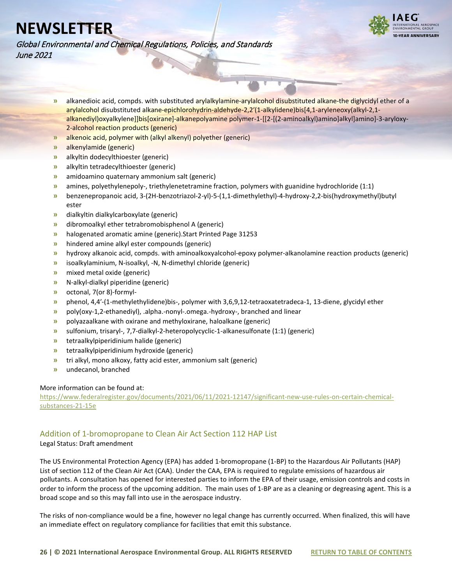

Global Environmental and Chemical Regulations, Policies, and Standards June 2021

- **»** alkanedioic acid, compds. with substituted arylalkylamine-arylalcohol disubstituted alkane-the diglycidyl ether of a arylalcohol disubstituted alkane-epichlorohydrin-aldehyde-2,2′(1-alkylidene)bis[4,1-aryleneoxy(alkyl-2,1 alkanediyl)oxyalkylene]]bis[oxirane]-alkanepolyamine polymer-1-[[2-[(2-aminoalkyl)amino]alkyl]amino]-3-aryloxy-2-alcohol reaction products (generic)
- **»** alkenoic acid, polymer with (alkyl alkenyl) polyether (generic)
- **»** alkenylamide (generic)
- **»** alkyltin dodecylthioester (generic)
- **»** alkyltin tetradecylthioester (generic)
- **»** amidoamino quaternary ammonium salt (generic)
- **»** amines, polyethylenepoly-, triethylenetetramine fraction, polymers with guanidine hydrochloride (1:1)
- **»** benzenepropanoic acid, 3-(2H-benzotriazol-2-yl)-5-(1,1-dimethylethyl)-4-hydroxy-2,2-bis(hydroxymethyl)butyl ester
- **»** dialkyltin dialkylcarboxylate (generic)
- **»** dibromoalkyl ether tetrabromobisphenol A (generic)
- **»** halogenated aromatic amine (generic).Start Printed Page 31253
- **»** hindered amine alkyl ester compounds (generic)
- **»** hydroxy alkanoic acid, compds. with aminoalkoxyalcohol-epoxy polymer-alkanolamine reaction products (generic)
- **»** isoalkylaminium, N-isoalkyl, -N, N-dimethyl chloride (generic)
- **»** mixed metal oxide (generic)
- **»** N-alkyl-dialkyl piperidine (generic)
- **»** octonal, 7(or 8)-formyl-
- **»** phenol, 4,4′-(1-methylethylidene)bis-, polymer with 3,6,9,12-tetraoxatetradeca-1, 13-diene, glycidyl ether
- **»** poly(oxy-1,2-ethanediyl), .alpha.-nonyl-.omega.-hydroxy-, branched and linear
- **»** polyazaalkane with oxirane and methyloxirane, haloalkane (generic)
- **»** sulfonium, trisaryl-, 7,7-dialkyl-2-heteropolycyclic-1-alkanesulfonate (1:1) (generic)
- **»** tetraalkylpiperidinium halide (generic)
- **»** tetraalkylpiperidinium hydroxide (generic)
- **»** tri alkyl, mono alkoxy, fatty acid ester, ammonium salt (generic)
- **»** undecanol, branched

#### More information can be found at:

[https://www.federalregister.gov/documents/2021/06/11/2021-12147/significant-new-use-rules-on-certain-chemical](https://www.federalregister.gov/documents/2021/06/11/2021-12147/significant-new-use-rules-on-certain-chemical-substances-21-15e)[substances-21-15e](https://www.federalregister.gov/documents/2021/06/11/2021-12147/significant-new-use-rules-on-certain-chemical-substances-21-15e)

### <span id="page-25-0"></span>Addition of 1-bromopropane to Clean Air Act Section 112 HAP List

#### Legal Status: Draft amendment

The US Environmental Protection Agency (EPA) has added 1-bromopropane (1-BP) to the Hazardous Air Pollutants (HAP) List of section 112 of the Clean Air Act (CAA). Under the CAA, EPA is required to regulate emissions of hazardous air pollutants. A consultation has opened for interested parties to inform the EPA of their usage, emission controls and costs in order to inform the process of the upcoming addition. The main uses of 1-BP are as a cleaning or degreasing agent. This is a broad scope and so this may fall into use in the aerospace industry.

The risks of non-compliance would be a fine, however no legal change has currently occurred. When finalized, this will have an immediate effect on regulatory compliance for facilities that emit this substance.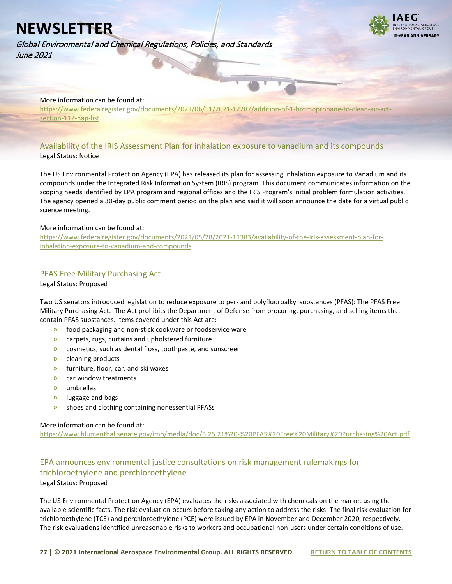Global Environmental and Chemical Regulations, Policies, and Standards June 2021



### More information can be found at:

[https://www.federalregister.gov/documents/2021/06/11/2021-12287/addition-of-1-bromopropane-to-clean-air-act](https://www.federalregister.gov/documents/2021/06/11/2021-12287/addition-of-1-bromopropane-to-clean-air-act-section-112-hap-list)[section-112-hap-list](https://www.federalregister.gov/documents/2021/06/11/2021-12287/addition-of-1-bromopropane-to-clean-air-act-section-112-hap-list)

### <span id="page-26-0"></span>Availability of the IRIS Assessment Plan for inhalation exposure to vanadium and its compounds Legal Status: Notice

The US Environmental Protection Agency (EPA) has released its plan for assessing inhalation exposure to Vanadium and its compounds under the Integrated Risk Information System (IRIS) program. This document communicates information on the scoping needs identified by EPA program and regional offices and the IRIS Program's initial problem formulation activities. The agency opened a 30-day public comment period on the plan and said it will soon announce the date for a virtual public science meeting.

#### More information can be found at:

[https://www.federalregister.gov/documents/2021/05/28/2021-11383/availability-of-the-iris-assessment-plan-for](https://www.federalregister.gov/documents/2021/05/28/2021-11383/availability-of-the-iris-assessment-plan-for-inhalation-exposure-to-vanadium-and-compounds)[inhalation-exposure-to-vanadium-and-compounds](https://www.federalregister.gov/documents/2021/05/28/2021-11383/availability-of-the-iris-assessment-plan-for-inhalation-exposure-to-vanadium-and-compounds)

### <span id="page-26-1"></span>PFAS Free Military Purchasing Act

Legal Status: Proposed

Two US senators introduced legislation to reduce exposure to per- and polyfluoroalkyl substances (PFAS): The PFAS Free Military Purchasing Act. The Act prohibits the Department of Defense from procuring, purchasing, and selling items that contain PFAS substances. Items covered under this Act are:

- **»** food packaging and non-stick cookware or foodservice ware
- **»** carpets, rugs, curtains and upholstered furniture
- **»** cosmetics, such as dental floss, toothpaste, and sunscreen
- **»** cleaning products
- **»** furniture, floor, car, and ski waxes
- **»** car window treatments
- **»** umbrellas
- **»** luggage and bags
- **»** shoes and clothing containing nonessential PFASs

#### More information can be found at:

<https://www.blumenthal.senate.gov/imo/media/doc/5.25.21%20-%20PFAS%20Free%20Military%20Purchasing%20Act.pdf>

## <span id="page-26-2"></span>EPA announces environmental justice consultations on risk management rulemakings for trichloroethylene and perchloroethylene

Legal Status: Proposed

The US Environmental Protection Agency (EPA) evaluates the risks associated with chemicals on the market using the available scientific facts. The risk evaluation occurs before taking any action to address the risks. The final risk evaluation for trichloroethylene (TCE) and perchloroethylene (PCE) were issued by EPA in November and December 2020, respectively. The risk evaluations identified unreasonable risks to workers and occupational non-users under certain conditions of use.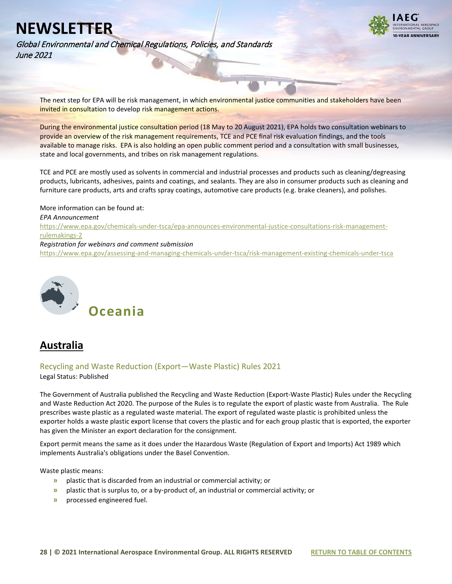**VEAR ANNIVERSARY** 

Global Environmental and Chemical Regulations, Policies, and Standards June 2021

The next step for EPA will be risk management, in which environmental justice communities and stakeholders have been invited in consultation to develop risk management actions.

During the environmental justice consultation period (18 May to 20 August 2021), EPA holds two consultation webinars to provide an overview of the risk management requirements, TCE and PCE final risk evaluation findings, and the tools available to manage risks. EPA is also holding an open public comment period and a consultation with small businesses, state and local governments, and tribes on risk management regulations.

TCE and PCE are mostly used as solvents in commercial and industrial processes and products such as cleaning/degreasing products, lubricants, adhesives, paints and coatings, and sealants. They are also in consumer products such as cleaning and furniture care products, arts and crafts spray coatings, automotive care products (e.g. brake cleaners), and polishes.

More information can be found at: *EPA Announcement* [https://www.epa.gov/chemicals-under-tsca/epa-announces-environmental-justice-consultations-risk-management](https://www.epa.gov/chemicals-under-tsca/epa-announces-environmental-justice-consultations-risk-management-rulemakings-2)[rulemakings-2](https://www.epa.gov/chemicals-under-tsca/epa-announces-environmental-justice-consultations-risk-management-rulemakings-2) *Registration for webinars and comment submission* <https://www.epa.gov/assessing-and-managing-chemicals-under-tsca/risk-management-existing-chemicals-under-tsca>

<span id="page-27-0"></span>

<span id="page-27-1"></span>

<span id="page-27-2"></span>Recycling and Waste Reduction (Export—Waste Plastic) Rules 2021

Legal Status: Published

The Government of Australia published the Recycling and Waste Reduction (Export-Waste Plastic) Rules under the Recycling and Waste Reduction Act 2020. The purpose of the Rules is to regulate the export of plastic waste from Australia. The Rule prescribes waste plastic as a regulated waste material. The export of regulated waste plastic is prohibited unless the exporter holds a waste plastic export license that covers the plastic and for each group plastic that is exported, the exporter has given the Minister an export declaration for the consignment.

Export permit means the same as it does under the Hazardous Waste (Regulation of Export and Imports) Act 1989 which implements Australia's obligations under the Basel Convention.

Waste plastic means:

- **»** plastic that is discarded from an industrial or commercial activity; or
- **»** plastic that is surplus to, or a by‑product of, an industrial or commercial activity; or
- **»** processed engineered fuel.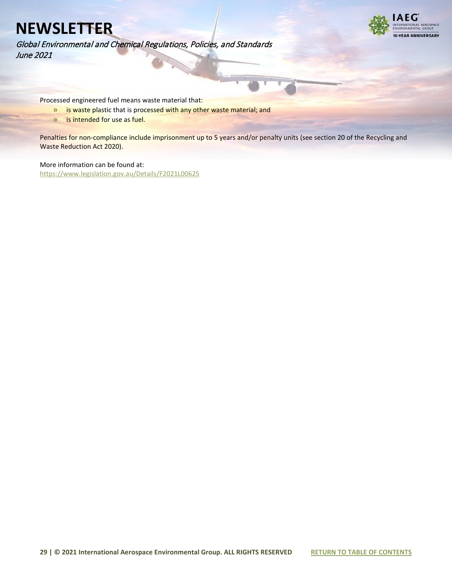

Global Environmental and Chemical Regulations, Policies, and Standards June 2021

Processed engineered fuel means waste material that:

- **»** is waste plastic that is processed with any other waste material; and
- **»** is intended for use as fuel.

Penalties for non-compliance include imprisonment up to 5 years and/or penalty units (see section 20 of the Recycling and Waste Reduction Act 2020).

More information can be found at: <https://www.legislation.gov.au/Details/F2021L00625>